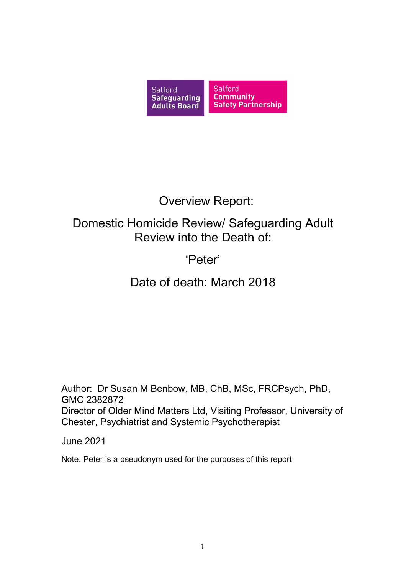

# Overview Report:

# Domestic Homicide Review/ Safeguarding Adult Review into the Death of:

# 'Peter'

# Date of death: March 2018

Author: Dr Susan M Benbow, MB, ChB, MSc, FRCPsych, PhD, GMC 2382872 Director of Older Mind Matters Ltd, Visiting Professor, University of Chester, Psychiatrist and Systemic Psychotherapist

June 2021

Note: Peter is a pseudonym used for the purposes of this report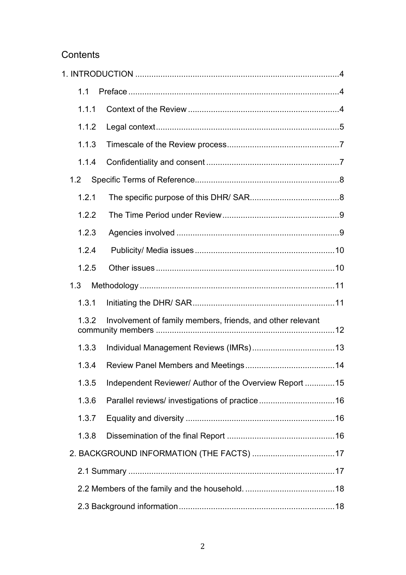# **Contents**

| 1.1   |                                                            |  |
|-------|------------------------------------------------------------|--|
| 1.1.1 |                                                            |  |
| 1.1.2 |                                                            |  |
| 1.1.3 |                                                            |  |
| 1.1.4 |                                                            |  |
| 1.2   |                                                            |  |
| 1.2.1 |                                                            |  |
| 1.2.2 |                                                            |  |
| 1.2.3 |                                                            |  |
| 1.2.4 |                                                            |  |
| 1.2.5 |                                                            |  |
| 1.3   |                                                            |  |
| 1.3.1 |                                                            |  |
| 1.3.2 | Involvement of family members, friends, and other relevant |  |
| 1.3.3 |                                                            |  |
| 1.3.4 |                                                            |  |
| 1.3.5 | Independent Reviewer/ Author of the Overview Report 15     |  |
| 1.3.6 |                                                            |  |
| 1.3.7 |                                                            |  |
| 1.3.8 |                                                            |  |
|       |                                                            |  |
|       |                                                            |  |
|       |                                                            |  |
|       |                                                            |  |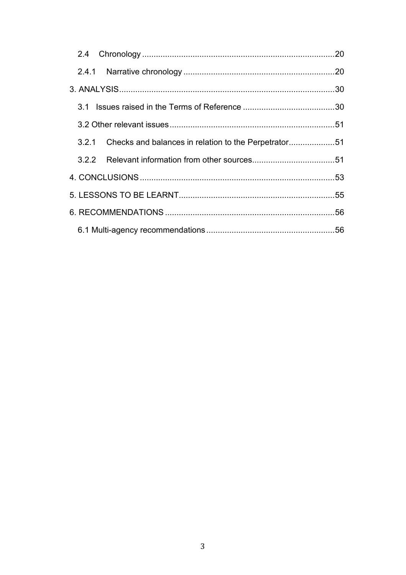| $2.4^{\circ}$ |                                                            |  |
|---------------|------------------------------------------------------------|--|
|               |                                                            |  |
|               |                                                            |  |
|               |                                                            |  |
|               |                                                            |  |
|               | 3.2.1 Checks and balances in relation to the Perpetrator51 |  |
|               |                                                            |  |
|               |                                                            |  |
|               |                                                            |  |
|               |                                                            |  |
|               |                                                            |  |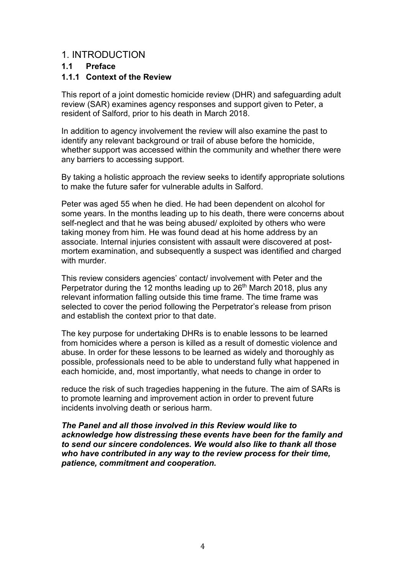# <span id="page-3-0"></span>1. INTRODUCTION

# <span id="page-3-1"></span>**1.1 Preface**

# <span id="page-3-2"></span>**1.1.1 Context of the Review**

This report of a joint domestic homicide review (DHR) and safeguarding adult review (SAR) examines agency responses and support given to Peter, a resident of Salford, prior to his death in March 2018.

In addition to agency involvement the review will also examine the past to identify any relevant background or trail of abuse before the homicide, whether support was accessed within the community and whether there were any barriers to accessing support.

By taking a holistic approach the review seeks to identify appropriate solutions to make the future safer for vulnerable adults in Salford.

Peter was aged 55 when he died. He had been dependent on alcohol for some years. In the months leading up to his death, there were concerns about self-neglect and that he was being abused/ exploited by others who were taking money from him. He was found dead at his home address by an associate. Internal injuries consistent with assault were discovered at postmortem examination, and subsequently a suspect was identified and charged with murder.

This review considers agencies' contact/ involvement with Peter and the Perpetrator during the 12 months leading up to  $26<sup>th</sup>$  March 2018, plus any relevant information falling outside this time frame. The time frame was selected to cover the period following the Perpetrator's release from prison and establish the context prior to that date.

The key purpose for undertaking DHRs is to enable lessons to be learned from homicides where a person is killed as a result of domestic violence and abuse. In order for these lessons to be learned as widely and thoroughly as possible, professionals need to be able to understand fully what happened in each homicide, and, most importantly, what needs to change in order to

reduce the risk of such tragedies happening in the future. The aim of SARs is to promote learning and improvement action in order to prevent future incidents involving death or serious harm.

*The Panel and all those involved in this Review would like to acknowledge how distressing these events have been for the family and to send our sincere condolences. We would also like to thank all those who have contributed in any way to the review process for their time, patience, commitment and cooperation.*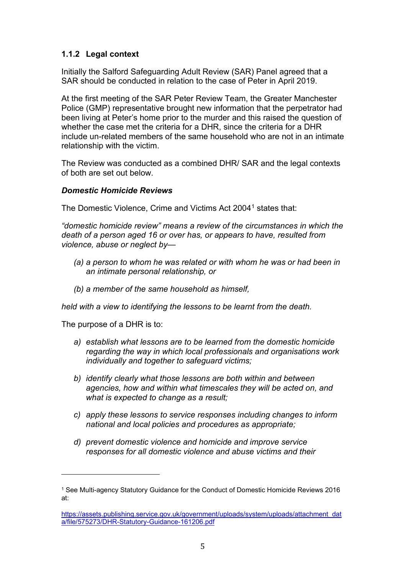# <span id="page-4-0"></span>**1.1.2 Legal context**

Initially the Salford Safeguarding Adult Review (SAR) Panel agreed that a SAR should be conducted in relation to the case of Peter in April 2019.

At the first meeting of the SAR Peter Review Team, the Greater Manchester Police (GMP) representative brought new information that the perpetrator had been living at Peter's home prior to the murder and this raised the question of whether the case met the criteria for a DHR, since the criteria for a DHR include un-related members of the same household who are not in an intimate relationship with the victim.

The Review was conducted as a combined DHR/ SAR and the legal contexts of both are set out below.

### *Domestic Homicide Reviews*

The Domestic Violence, Crime and Victims Act 2004<sup>[1](#page-4-1)</sup> states that:

*"domestic homicide review" means a review of the circumstances in which the death of a person aged 16 or over has, or appears to have, resulted from violence, abuse or neglect by—*

- *(a) a person to whom he was related or with whom he was or had been in an intimate personal relationship, or*
- *(b) a member of the same household as himself,*

*held with a view to identifying the lessons to be learnt from the death.*

The purpose of a DHR is to:

- *a) establish what lessons are to be learned from the domestic homicide regarding the way in which local professionals and organisations work individually and together to safeguard victims;*
- *b) identify clearly what those lessons are both within and between agencies, how and within what timescales they will be acted on, and what is expected to change as a result;*
- *c) apply these lessons to service responses including changes to inform national and local policies and procedures as appropriate;*
- *d) prevent domestic violence and homicide and improve service responses for all domestic violence and abuse victims and their*

<span id="page-4-1"></span><sup>1</sup> See Multi-agency Statutory Guidance for the Conduct of Domestic Homicide Reviews 2016 at:

[https://assets.publishing.service.gov.uk/government/uploads/system/uploads/attachment\\_dat](https://assets.publishing.service.gov.uk/government/uploads/system/uploads/attachment_data/file/575273/DHR-Statutory-Guidance-161206.pdf) [a/file/575273/DHR-Statutory-Guidance-161206.pdf](https://assets.publishing.service.gov.uk/government/uploads/system/uploads/attachment_data/file/575273/DHR-Statutory-Guidance-161206.pdf)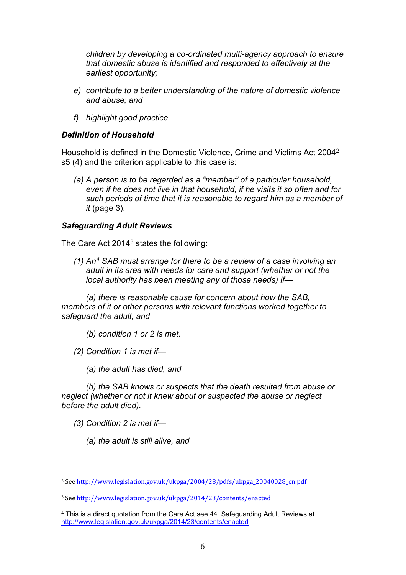*children by developing a co-ordinated multi-agency approach to ensure that domestic abuse is identified and responded to effectively at the earliest opportunity;*

- *e) contribute to a better understanding of the nature of domestic violence and abuse; and*
- *f) highlight good practice*

### *Definition of Household*

Household is defined in the Domestic Violence, Crime and Victims Act 2004[2](#page-5-0) s5 (4) and the criterion applicable to this case is:

*(a) A person is to be regarded as a "member" of a particular household, even if he does not live in that household, if he visits it so often and for such periods of time that it is reasonable to regard him as a member of it* (page 3).

### *Safeguarding Adult Reviews*

The Care Act 2014<sup>[3](#page-5-1)</sup> states the following:

*(1) An[4](#page-5-2) SAB must arrange for there to be a review of a case involving an adult in its area with needs for care and support (whether or not the local authority has been meeting any of those needs) if—*

*(a) there is reasonable cause for concern about how the SAB, members of it or other persons with relevant functions worked together to safeguard the adult, and*

- *(b) condition 1 or 2 is met.*
- *(2) Condition 1 is met if—*
	- *(a) the adult has died, and*

*(b) the SAB knows or suspects that the death resulted from abuse or neglect (whether or not it knew about or suspected the abuse or neglect before the adult died).*

*(3) Condition 2 is met if—*

*(a) the adult is still alive, and*

<span id="page-5-0"></span><sup>&</sup>lt;sup>2</sup> Se[e http://www.legislation.gov.uk/ukpga/2004/28/pdfs/ukpga\\_20040028\\_en.pdf](http://www.legislation.gov.uk/ukpga/2004/28/pdfs/ukpga_20040028_en.pdf)

<span id="page-5-1"></span><sup>3</sup> Se[e http://www.legislation.gov.uk/ukpga/2014/23/contents/enacted](http://www.legislation.gov.uk/ukpga/2014/23/contents/enacted)

<span id="page-5-2"></span><sup>4</sup> This is a direct quotation from the Care Act see 44. Safeguarding Adult Reviews at <http://www.legislation.gov.uk/ukpga/2014/23/contents/enacted>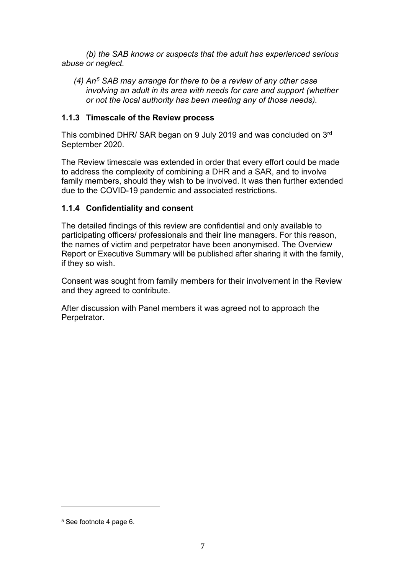*(b) the SAB knows or suspects that the adult has experienced serious abuse or neglect.*

*(4) An[5](#page-6-2) SAB may arrange for there to be a review of any other case involving an adult in its area with needs for care and support (whether or not the local authority has been meeting any of those needs).*

### <span id="page-6-0"></span>**1.1.3 Timescale of the Review process**

This combined DHR/ SAR began on 9 July 2019 and was concluded on 3rd September 2020.

The Review timescale was extended in order that every effort could be made to address the complexity of combining a DHR and a SAR, and to involve family members, should they wish to be involved. It was then further extended due to the COVID-19 pandemic and associated restrictions.

# <span id="page-6-1"></span>**1.1.4 Confidentiality and consent**

The detailed findings of this review are confidential and only available to participating officers/ professionals and their line managers. For this reason, the names of victim and perpetrator have been anonymised. The Overview Report or Executive Summary will be published after sharing it with the family, if they so wish.

Consent was sought from family members for their involvement in the Review and they agreed to contribute.

After discussion with Panel members it was agreed not to approach the Perpetrator.

<span id="page-6-2"></span><sup>5</sup> See footnote 4 page 6.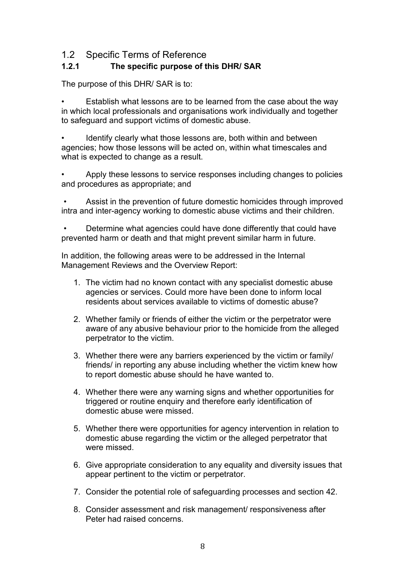# <span id="page-7-0"></span>1.2 Specific Terms of Reference

# <span id="page-7-1"></span>**1.2.1 The specific purpose of this DHR/ SAR**

The purpose of this DHR/ SAR is to:

Establish what lessons are to be learned from the case about the way in which local professionals and organisations work individually and together to safeguard and support victims of domestic abuse.

Identify clearly what those lessons are, both within and between agencies; how those lessons will be acted on, within what timescales and what is expected to change as a result.

• Apply these lessons to service responses including changes to policies and procedures as appropriate; and

Assist in the prevention of future domestic homicides through improved intra and inter-agency working to domestic abuse victims and their children.

• Determine what agencies could have done differently that could have prevented harm or death and that might prevent similar harm in future.

In addition, the following areas were to be addressed in the Internal Management Reviews and the Overview Report:

- 1. The victim had no known contact with any specialist domestic abuse agencies or services. Could more have been done to inform local residents about services available to victims of domestic abuse?
- 2. Whether family or friends of either the victim or the perpetrator were aware of any abusive behaviour prior to the homicide from the alleged perpetrator to the victim.
- 3. Whether there were any barriers experienced by the victim or family/ friends/ in reporting any abuse including whether the victim knew how to report domestic abuse should he have wanted to.
- 4. Whether there were any warning signs and whether opportunities for triggered or routine enquiry and therefore early identification of domestic abuse were missed.
- 5. Whether there were opportunities for agency intervention in relation to domestic abuse regarding the victim or the alleged perpetrator that were missed
- 6. Give appropriate consideration to any equality and diversity issues that appear pertinent to the victim or perpetrator.
- 7. Consider the potential role of safeguarding processes and section 42.
- 8. Consider assessment and risk management/ responsiveness after Peter had raised concerns.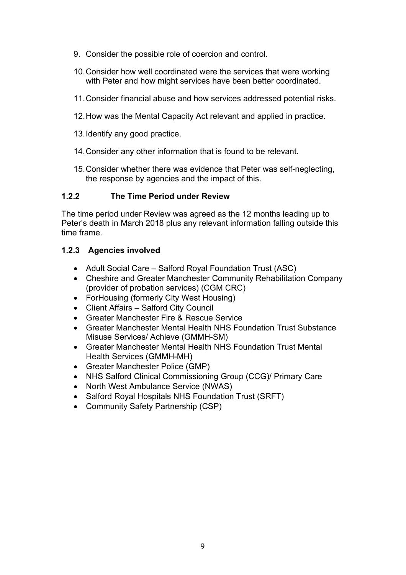- 9. Consider the possible role of coercion and control.
- 10.Consider how well coordinated were the services that were working with Peter and how might services have been better coordinated.
- 11.Consider financial abuse and how services addressed potential risks.
- 12.How was the Mental Capacity Act relevant and applied in practice.
- 13.Identify any good practice.
- 14.Consider any other information that is found to be relevant.
- 15.Consider whether there was evidence that Peter was self-neglecting, the response by agencies and the impact of this.

### <span id="page-8-0"></span>**1.2.2 The Time Period under Review**

The time period under Review was agreed as the 12 months leading up to Peter's death in March 2018 plus any relevant information falling outside this time frame.

# <span id="page-8-1"></span>**1.2.3 Agencies involved**

- Adult Social Care Salford Royal Foundation Trust (ASC)
- Cheshire and Greater Manchester Community Rehabilitation Company (provider of probation services) (CGM CRC)
- ForHousing (formerly City West Housing)
- Client Affairs Salford City Council
- Greater Manchester Fire & Rescue Service
- Greater Manchester Mental Health NHS Foundation Trust Substance Misuse Services/ Achieve (GMMH-SM)
- Greater Manchester Mental Health NHS Foundation Trust Mental Health Services (GMMH-MH)
- Greater Manchester Police (GMP)
- NHS Salford Clinical Commissioning Group (CCG)/ Primary Care
- North West Ambulance Service (NWAS)
- Salford Royal Hospitals NHS Foundation Trust (SRFT)
- Community Safety Partnership (CSP)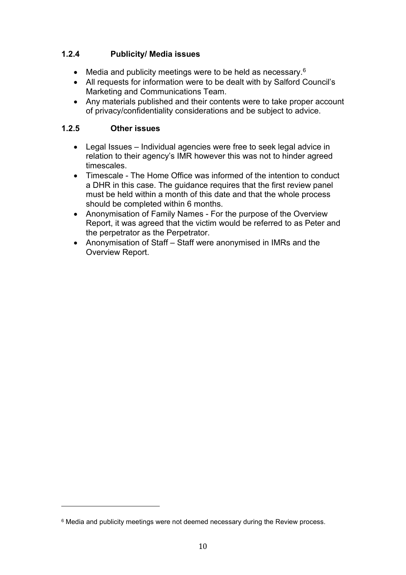# <span id="page-9-0"></span>**1.2.4 Publicity/ Media issues**

- Media and publicity meetings were to be held as necessary.<sup>[6](#page-9-2)</sup>
- All requests for information were to be dealt with by Salford Council's Marketing and Communications Team.
- Any materials published and their contents were to take proper account of privacy/confidentiality considerations and be subject to advice.

# <span id="page-9-1"></span>**1.2.5 Other issues**

- Legal Issues Individual agencies were free to seek legal advice in relation to their agency's IMR however this was not to hinder agreed timescales.
- Timescale The Home Office was informed of the intention to conduct a DHR in this case. The guidance requires that the first review panel must be held within a month of this date and that the whole process should be completed within 6 months.
- Anonymisation of Family Names For the purpose of the Overview Report, it was agreed that the victim would be referred to as Peter and the perpetrator as the Perpetrator.
- Anonymisation of Staff Staff were anonymised in IMRs and the Overview Report.

<span id="page-9-2"></span><sup>6</sup> Media and publicity meetings were not deemed necessary during the Review process.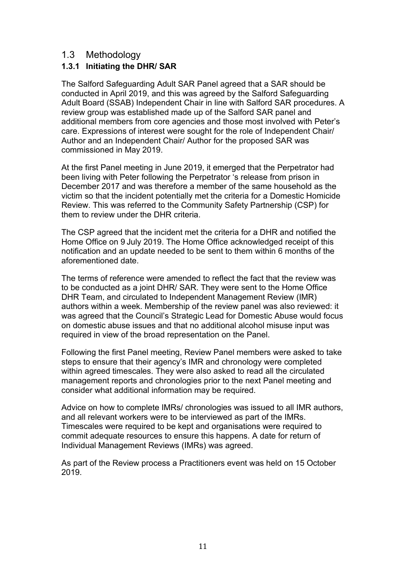# <span id="page-10-0"></span>1.3 Methodology

# <span id="page-10-1"></span>**1.3.1 Initiating the DHR/ SAR**

The Salford Safeguarding Adult SAR Panel agreed that a SAR should be conducted in April 2019, and this was agreed by the Salford Safeguarding Adult Board (SSAB) Independent Chair in line with Salford SAR procedures. A review group was established made up of the Salford SAR panel and additional members from core agencies and those most involved with Peter's care. Expressions of interest were sought for the role of Independent Chair/ Author and an Independent Chair/ Author for the proposed SAR was commissioned in May 2019.

At the first Panel meeting in June 2019, it emerged that the Perpetrator had been living with Peter following the Perpetrator 's release from prison in December 2017 and was therefore a member of the same household as the victim so that the incident potentially met the criteria for a Domestic Homicide Review. This was referred to the Community Safety Partnership (CSP) for them to review under the DHR criteria.

The CSP agreed that the incident met the criteria for a DHR and notified the Home Office on 9 July 2019. The Home Office acknowledged receipt of this notification and an update needed to be sent to them within 6 months of the aforementioned date.

The terms of reference were amended to reflect the fact that the review was to be conducted as a joint DHR/ SAR. They were sent to the Home Office DHR Team, and circulated to Independent Management Review (IMR) authors within a week. Membership of the review panel was also reviewed: it was agreed that the Council's Strategic Lead for Domestic Abuse would focus on domestic abuse issues and that no additional alcohol misuse input was required in view of the broad representation on the Panel.

Following the first Panel meeting, Review Panel members were asked to take steps to ensure that their agency's IMR and chronology were completed within agreed timescales. They were also asked to read all the circulated management reports and chronologies prior to the next Panel meeting and consider what additional information may be required.

Advice on how to complete IMRs/ chronologies was issued to all IMR authors, and all relevant workers were to be interviewed as part of the IMRs. Timescales were required to be kept and organisations were required to commit adequate resources to ensure this happens. A date for return of Individual Management Reviews (IMRs) was agreed.

As part of the Review process a Practitioners event was held on 15 October 2019.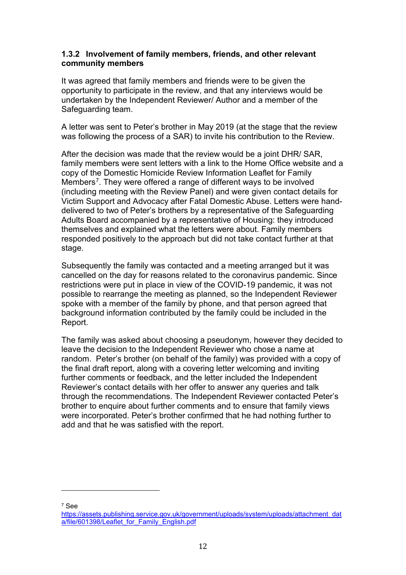### <span id="page-11-0"></span>**1.3.2 Involvement of family members, friends, and other relevant community members**

It was agreed that family members and friends were to be given the opportunity to participate in the review, and that any interviews would be undertaken by the Independent Reviewer/ Author and a member of the Safeguarding team.

A letter was sent to Peter's brother in May 2019 (at the stage that the review was following the process of a SAR) to invite his contribution to the Review.

After the decision was made that the review would be a joint DHR/ SAR, family members were sent letters with a link to the Home Office website and a copy of the Domestic Homicide Review Information Leaflet for Family Members<sup>7</sup>. They were offered a range of different ways to be involved (including meeting with the Review Panel) and were given contact details for Victim Support and Advocacy after Fatal Domestic Abuse. Letters were handdelivered to two of Peter's brothers by a representative of the Safeguarding Adults Board accompanied by a representative of Housing: they introduced themselves and explained what the letters were about. Family members responded positively to the approach but did not take contact further at that stage.

Subsequently the family was contacted and a meeting arranged but it was cancelled on the day for reasons related to the coronavirus pandemic. Since restrictions were put in place in view of the COVID-19 pandemic, it was not possible to rearrange the meeting as planned, so the Independent Reviewer spoke with a member of the family by phone, and that person agreed that background information contributed by the family could be included in the Report.

The family was asked about choosing a pseudonym, however they decided to leave the decision to the Independent Reviewer who chose a name at random. Peter's brother (on behalf of the family) was provided with a copy of the final draft report, along with a covering letter welcoming and inviting further comments or feedback, and the letter included the Independent Reviewer's contact details with her offer to answer any queries and talk through the recommendations. The Independent Reviewer contacted Peter's brother to enquire about further comments and to ensure that family views were incorporated. Peter's brother confirmed that he had nothing further to add and that he was satisfied with the report.

<span id="page-11-1"></span><sup>7</sup> See

[https://assets.publishing.service.gov.uk/government/uploads/system/uploads/attachment\\_dat](https://assets.publishing.service.gov.uk/government/uploads/system/uploads/attachment_data/file/601398/Leaflet_for_Family_English.pdf) a/file/601398/Leaflet for Family English.pdf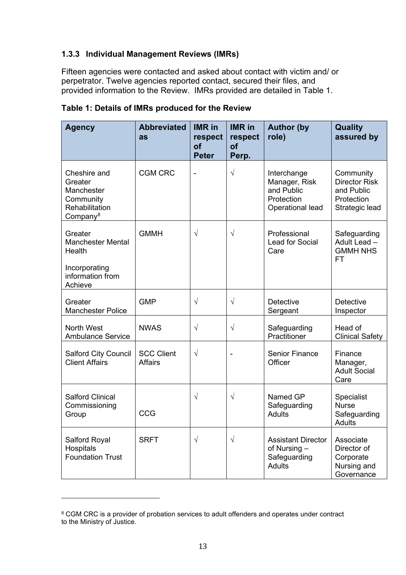# <span id="page-12-0"></span>**1.3.3 Individual Management Reviews (IMRs)**

Fifteen agencies were contacted and asked about contact with victim and/ or perpetrator. Twelve agencies reported contact, secured their files, and provided information to the Review. IMRs provided are detailed in Table 1.

| <b>Agency</b>                                                                                 | <b>Abbreviated</b><br>as            | <b>IMR</b> in<br>respect<br><b>of</b><br><b>Peter</b> | <b>IMR</b> in<br>respect<br><b>of</b><br>Perp. | <b>Author (by</b><br>role)                                                   | <b>Quality</b><br>assured by                                                    |
|-----------------------------------------------------------------------------------------------|-------------------------------------|-------------------------------------------------------|------------------------------------------------|------------------------------------------------------------------------------|---------------------------------------------------------------------------------|
| Cheshire and<br>Greater<br>Manchester<br>Community<br>Rehabilitation<br>Company <sup>8</sup>  | <b>CGM CRC</b>                      | $\blacksquare$                                        | $\sqrt{}$                                      | Interchange<br>Manager, Risk<br>and Public<br>Protection<br>Operational lead | Community<br><b>Director Risk</b><br>and Public<br>Protection<br>Strategic lead |
| Greater<br><b>Manchester Mental</b><br>Health<br>Incorporating<br>information from<br>Achieve | <b>GMMH</b>                         | $\sqrt{ }$                                            | $\sqrt{}$                                      | Professional<br><b>Lead for Social</b><br>Care                               | Safeguarding<br>Adult Lead -<br><b>GMMH NHS</b><br><b>FT</b>                    |
| Greater<br><b>Manchester Police</b>                                                           | <b>GMP</b>                          | $\sqrt{}$                                             | $\sqrt{ }$                                     | <b>Detective</b><br>Sergeant                                                 | <b>Detective</b><br>Inspector                                                   |
| <b>North West</b><br><b>Ambulance Service</b>                                                 | <b>NWAS</b>                         | $\sqrt{}$                                             | $\sqrt{}$                                      | Safeguarding<br>Practitioner                                                 | Head of<br><b>Clinical Safety</b>                                               |
| <b>Salford City Council</b><br><b>Client Affairs</b>                                          | <b>SCC Client</b><br><b>Affairs</b> | $\sqrt{ }$                                            |                                                | <b>Senior Finance</b><br>Officer                                             | Finance<br>Manager,<br><b>Adult Social</b><br>Care                              |
| <b>Salford Clinical</b><br>Commissioning<br>Group                                             | CCG                                 | $\sqrt{}$                                             | $\sqrt{}$                                      | Named GP<br>Safeguarding<br><b>Adults</b>                                    | Specialist<br><b>Nurse</b><br>Safeguarding<br><b>Adults</b>                     |
| Salford Royal<br>Hospitals<br><b>Foundation Trust</b>                                         | <b>SRFT</b>                         | $\sqrt{ }$                                            | $\sqrt{}$                                      | <b>Assistant Director</b><br>of Nursing -<br>Safeguarding<br><b>Adults</b>   | Associate<br>Director of<br>Corporate<br>Nursing and<br>Governance              |

# **Table 1: Details of IMRs produced for the Review**

<span id="page-12-1"></span><sup>&</sup>lt;sup>8</sup> CGM CRC is a provider of probation services to adult offenders and operates under contract to the Ministry of Justice.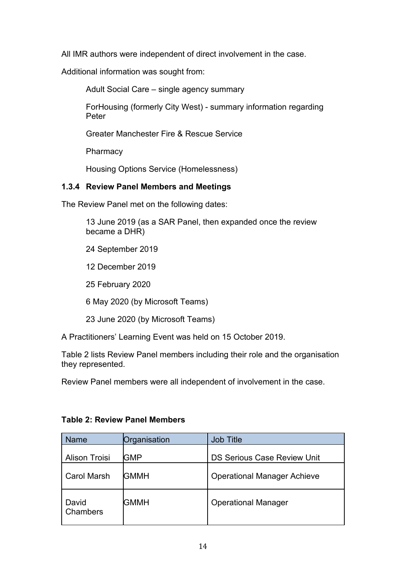All IMR authors were independent of direct involvement in the case.

Additional information was sought from:

Adult Social Care – single agency summary

ForHousing (formerly City West) - summary information regarding Peter

Greater Manchester Fire & Rescue Service

**Pharmacy** 

Housing Options Service (Homelessness)

# <span id="page-13-0"></span>**1.3.4 Review Panel Members and Meetings**

The Review Panel met on the following dates:

13 June 2019 (as a SAR Panel, then expanded once the review became a DHR)

- 24 September 2019
- 12 December 2019

25 February 2020

6 May 2020 (by Microsoft Teams)

23 June 2020 (by Microsoft Teams)

A Practitioners' Learning Event was held on 15 October 2019.

Table 2 lists Review Panel members including their role and the organisation they represented.

Review Panel members were all independent of involvement in the case.

| Name                 | Organisation | <b>Job Title</b>                   |
|----------------------|--------------|------------------------------------|
| <b>Alison Troisi</b> | <b>GMP</b>   | <b>DS Serious Case Review Unit</b> |
| <b>Carol Marsh</b>   | GMMH         | <b>Operational Manager Achieve</b> |
| David<br>Chambers    | <b>GMMH</b>  | <b>Operational Manager</b>         |

# **Table 2: Review Panel Members**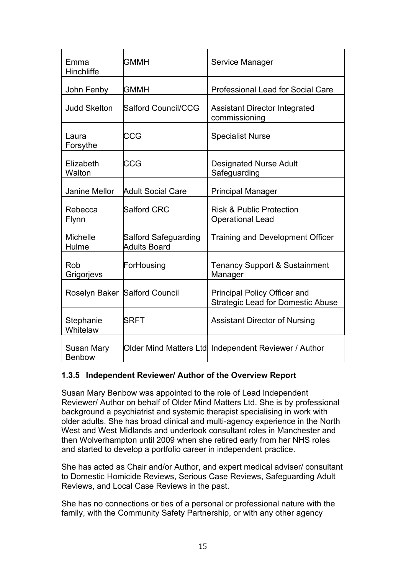| Emma<br>Hinchliffe                 | GMMH                                        | Service Manager                                                                 |
|------------------------------------|---------------------------------------------|---------------------------------------------------------------------------------|
| John Fenby                         | <b>GMMH</b>                                 | <b>Professional Lead for Social Care</b>                                        |
| <b>Judd Skelton</b>                | Salford Council/CCG                         | <b>Assistant Director Integrated</b><br>commissioning                           |
| Laura<br>Forsythe                  | CCG                                         | <b>Specialist Nurse</b>                                                         |
| Elizabeth<br>Walton                | CCG                                         | <b>Designated Nurse Adult</b><br>Safeguarding                                   |
| <b>Janine Mellor</b>               | <b>Adult Social Care</b>                    | <b>Principal Manager</b>                                                        |
| Rebecca<br><b>Flynn</b>            | Salford CRC                                 | <b>Risk &amp; Public Protection</b><br><b>Operational Lead</b>                  |
| <b>Michelle</b><br>Hulme           | Salford Safeguarding<br><b>Adults Board</b> | <b>Training and Development Officer</b>                                         |
| Rob<br>Grigorjevs                  | ForHousing                                  | <b>Tenancy Support &amp; Sustainment</b><br>Manager                             |
|                                    | Roselyn Baker Salford Council               | <b>Principal Policy Officer and</b><br><b>Strategic Lead for Domestic Abuse</b> |
| Stephanie<br>Whitelaw              | <b>SRFT</b>                                 | <b>Assistant Director of Nursing</b>                                            |
| <b>Susan Mary</b><br><b>Benbow</b> |                                             | Older Mind Matters Ltd Independent Reviewer / Author                            |

# <span id="page-14-0"></span>**1.3.5 Independent Reviewer/ Author of the Overview Report**

Susan Mary Benbow was appointed to the role of Lead Independent Reviewer/ Author on behalf of Older Mind Matters Ltd. She is by professional background a psychiatrist and systemic therapist specialising in work with older adults. She has broad clinical and multi-agency experience in the North West and West Midlands and undertook consultant roles in Manchester and then Wolverhampton until 2009 when she retired early from her NHS roles and started to develop a portfolio career in independent practice.

She has acted as Chair and/or Author, and expert medical adviser/ consultant to Domestic Homicide Reviews, Serious Case Reviews, Safeguarding Adult Reviews, and Local Case Reviews in the past.

She has no connections or ties of a personal or professional nature with the family, with the Community Safety Partnership, or with any other agency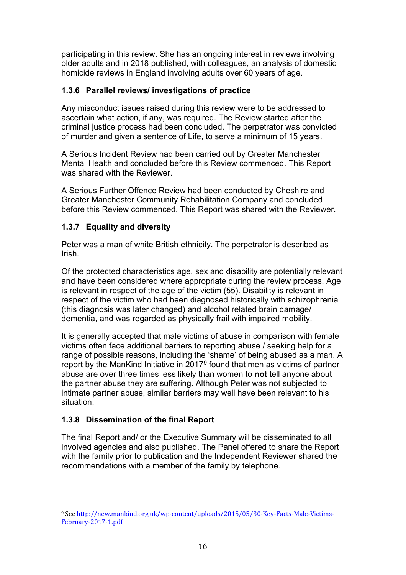participating in this review. She has an ongoing interest in reviews involving older adults and in 2018 published, with colleagues, an analysis of domestic homicide reviews in England involving adults over 60 years of age.

# <span id="page-15-0"></span>**1.3.6 Parallel reviews/ investigations of practice**

Any misconduct issues raised during this review were to be addressed to ascertain what action, if any, was required. The Review started after the criminal justice process had been concluded. The perpetrator was convicted of murder and given a sentence of Life, to serve a minimum of 15 years.

A Serious Incident Review had been carried out by Greater Manchester Mental Health and concluded before this Review commenced. This Report was shared with the Reviewer.

A Serious Further Offence Review had been conducted by Cheshire and Greater Manchester Community Rehabilitation Company and concluded before this Review commenced. This Report was shared with the Reviewer.

# <span id="page-15-1"></span>**1.3.7 Equality and diversity**

Peter was a man of white British ethnicity. The perpetrator is described as Irish.

Of the protected characteristics age, sex and disability are potentially relevant and have been considered where appropriate during the review process. Age is relevant in respect of the age of the victim (55). Disability is relevant in respect of the victim who had been diagnosed historically with schizophrenia (this diagnosis was later changed) and alcohol related brain damage/ dementia, and was regarded as physically frail with impaired mobility.

It is generally accepted that male victims of abuse in comparison with female victims often face additional barriers to reporting abuse / seeking help for a range of possible reasons, including the 'shame' of being abused as a man. A report by the ManKind Initiative in 2017[9](#page-15-3) found that men as victims of partner abuse are over three times less likely than women to **not** tell anyone about the partner abuse they are suffering. Although Peter was not subjected to intimate partner abuse, similar barriers may well have been relevant to his situation.

# <span id="page-15-2"></span>**1.3.8 Dissemination of the final Report**

The final Report and/ or the Executive Summary will be disseminated to all involved agencies and also published. The Panel offered to share the Report with the family prior to publication and the Independent Reviewer shared the recommendations with a member of the family by telephone.

<span id="page-15-3"></span><sup>9</sup> Se[e http://new.mankind.org.uk/wp-content/uploads/2015/05/30-Key-Facts-Male-Victims-](http://new.mankind.org.uk/wp-content/uploads/2015/05/30-Key-Facts-Male-Victims-February-2017-1.pdf)[February-2017-1.pdf](http://new.mankind.org.uk/wp-content/uploads/2015/05/30-Key-Facts-Male-Victims-February-2017-1.pdf)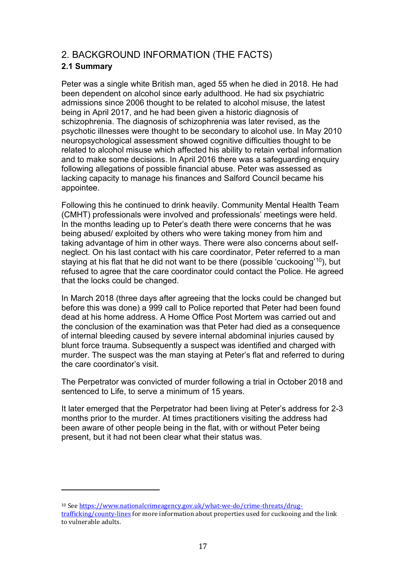# <span id="page-16-0"></span>2. BACKGROUND INFORMATION (THE FACTS)

# <span id="page-16-1"></span>**2.1 Summary**

Peter was a single white British man, aged 55 when he died in 2018. He had been dependent on alcohol since early adulthood. He had six psychiatric admissions since 2006 thought to be related to alcohol misuse, the latest being in April 2017, and he had been given a historic diagnosis of schizophrenia. The diagnosis of schizophrenia was later revised, as the psychotic illnesses were thought to be secondary to alcohol use. In May 2010 neuropsychological assessment showed cognitive difficulties thought to be related to alcohol misuse which affected his ability to retain verbal information and to make some decisions. In April 2016 there was a safeguarding enquiry following allegations of possible financial abuse. Peter was assessed as lacking capacity to manage his finances and Salford Council became his appointee.

Following this he continued to drink heavily. Community Mental Health Team (CMHT) professionals were involved and professionals' meetings were held. In the months leading up to Peter's death there were concerns that he was being abused/ exploited by others who were taking money from him and taking advantage of him in other ways. There were also concerns about selfneglect. On his last contact with his care coordinator, Peter referred to a man staying at his flat that he did not want to be there (possible 'cuckooing' [10\)](#page-16-2), but refused to agree that the care coordinator could contact the Police. He agreed that the locks could be changed.

In March 2018 (three days after agreeing that the locks could be changed but before this was done) a 999 call to Police reported that Peter had been found dead at his home address. A Home Office Post Mortem was carried out and the conclusion of the examination was that Peter had died as a consequence of internal bleeding caused by severe internal abdominal injuries caused by blunt force trauma. Subsequently a suspect was identified and charged with murder. The suspect was the man staying at Peter's flat and referred to during the care coordinator's visit.

The Perpetrator was convicted of murder following a trial in October 2018 and sentenced to Life, to serve a minimum of 15 years.

It later emerged that the Perpetrator had been living at Peter's address for 2-3 months prior to the murder. At times practitioners visiting the address had been aware of other people being in the flat, with or without Peter being present, but it had not been clear what their status was.

<span id="page-16-2"></span><sup>10</sup> Se[e https://www.nationalcrimeagency.gov.uk/what-we-do/crime-threats/drug](https://www.nationalcrimeagency.gov.uk/what-we-do/crime-threats/drug-trafficking/county-lines)[trafficking/county-lines](https://www.nationalcrimeagency.gov.uk/what-we-do/crime-threats/drug-trafficking/county-lines) for more information about properties used for cuckooing and the link to vulnerable adults.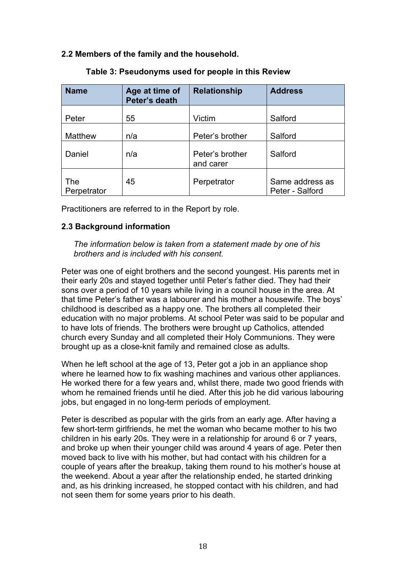### <span id="page-17-0"></span>**2.2 Members of the family and the household.**

| <b>Name</b>        | Age at time of<br>Peter's death | <b>Relationship</b>          | <b>Address</b>                     |
|--------------------|---------------------------------|------------------------------|------------------------------------|
| Peter              | 55                              | Victim                       | Salford                            |
| <b>Matthew</b>     | n/a                             | Peter's brother              | Salford                            |
| Daniel             | n/a                             | Peter's brother<br>and carer | Salford                            |
| The<br>Perpetrator | 45                              | Perpetrator                  | Same address as<br>Peter - Salford |

### **Table 3: Pseudonyms used for people in this Review**

Practitioners are referred to in the Report by role.

### <span id="page-17-1"></span>**2.3 Background information**

*The information below is taken from a statement made by one of his brothers and is included with his consent.*

Peter was one of eight brothers and the second youngest. His parents met in their early 20s and stayed together until Peter's father died. They had their sons over a period of 10 years while living in a council house in the area. At that time Peter's father was a labourer and his mother a housewife. The boys' childhood is described as a happy one. The brothers all completed their education with no major problems. At school Peter was said to be popular and to have lots of friends. The brothers were brought up Catholics, attended church every Sunday and all completed their Holy Communions. They were brought up as a close-knit family and remained close as adults.

When he left school at the age of 13, Peter got a job in an appliance shop where he learned how to fix washing machines and various other appliances. He worked there for a few years and, whilst there, made two good friends with whom he remained friends until he died. After this job he did various labouring jobs, but engaged in no long-term periods of employment.

Peter is described as popular with the girls from an early age. After having a few short-term girlfriends, he met the woman who became mother to his two children in his early 20s. They were in a relationship for around 6 or 7 years, and broke up when their younger child was around 4 years of age. Peter then moved back to live with his mother, but had contact with his children for a couple of years after the breakup, taking them round to his mother's house at the weekend. About a year after the relationship ended, he started drinking and, as his drinking increased, he stopped contact with his children, and had not seen them for some years prior to his death.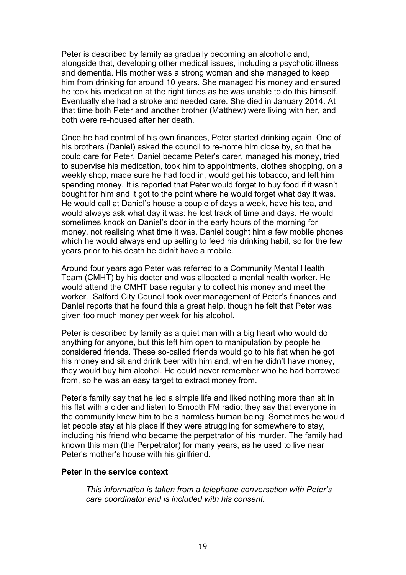Peter is described by family as gradually becoming an alcoholic and, alongside that, developing other medical issues, including a psychotic illness and dementia. His mother was a strong woman and she managed to keep him from drinking for around 10 years. She managed his money and ensured he took his medication at the right times as he was unable to do this himself. Eventually she had a stroke and needed care. She died in January 2014. At that time both Peter and another brother (Matthew) were living with her, and both were re-housed after her death.

Once he had control of his own finances, Peter started drinking again. One of his brothers (Daniel) asked the council to re-home him close by, so that he could care for Peter. Daniel became Peter's carer, managed his money, tried to supervise his medication, took him to appointments, clothes shopping, on a weekly shop, made sure he had food in, would get his tobacco, and left him spending money. It is reported that Peter would forget to buy food if it wasn't bought for him and it got to the point where he would forget what day it was. He would call at Daniel's house a couple of days a week, have his tea, and would always ask what day it was: he lost track of time and days. He would sometimes knock on Daniel's door in the early hours of the morning for money, not realising what time it was. Daniel bought him a few mobile phones which he would always end up selling to feed his drinking habit, so for the few years prior to his death he didn't have a mobile.

Around four years ago Peter was referred to a Community Mental Health Team (CMHT) by his doctor and was allocated a mental health worker. He would attend the CMHT base regularly to collect his money and meet the worker. Salford City Council took over management of Peter's finances and Daniel reports that he found this a great help, though he felt that Peter was given too much money per week for his alcohol.

Peter is described by family as a quiet man with a big heart who would do anything for anyone, but this left him open to manipulation by people he considered friends. These so-called friends would go to his flat when he got his money and sit and drink beer with him and, when he didn't have money, they would buy him alcohol. He could never remember who he had borrowed from, so he was an easy target to extract money from.

Peter's family say that he led a simple life and liked nothing more than sit in his flat with a cider and listen to Smooth FM radio: they say that everyone in the community knew him to be a harmless human being. Sometimes he would let people stay at his place if they were struggling for somewhere to stay, including his friend who became the perpetrator of his murder. The family had known this man (the Perpetrator) for many years, as he used to live near Peter's mother's house with his girlfriend.

#### **Peter in the service context**

*This information is taken from a telephone conversation with Peter's care coordinator and is included with his consent.*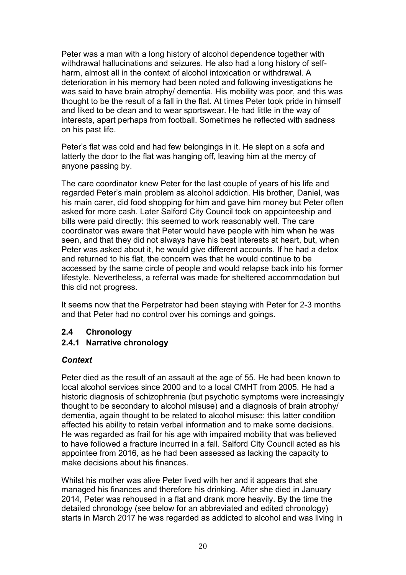Peter was a man with a long history of alcohol dependence together with withdrawal hallucinations and seizures. He also had a long history of selfharm, almost all in the context of alcohol intoxication or withdrawal. A deterioration in his memory had been noted and following investigations he was said to have brain atrophy/ dementia. His mobility was poor, and this was thought to be the result of a fall in the flat. At times Peter took pride in himself and liked to be clean and to wear sportswear. He had little in the way of interests, apart perhaps from football. Sometimes he reflected with sadness on his past life.

Peter's flat was cold and had few belongings in it. He slept on a sofa and latterly the door to the flat was hanging off, leaving him at the mercy of anyone passing by.

The care coordinator knew Peter for the last couple of years of his life and regarded Peter's main problem as alcohol addiction. His brother, Daniel, was his main carer, did food shopping for him and gave him money but Peter often asked for more cash. Later Salford City Council took on appointeeship and bills were paid directly: this seemed to work reasonably well. The care coordinator was aware that Peter would have people with him when he was seen, and that they did not always have his best interests at heart, but, when Peter was asked about it, he would give different accounts. If he had a detox and returned to his flat, the concern was that he would continue to be accessed by the same circle of people and would relapse back into his former lifestyle. Nevertheless, a referral was made for sheltered accommodation but this did not progress.

<span id="page-19-0"></span>It seems now that the Perpetrator had been staying with Peter for 2-3 months and that Peter had no control over his comings and goings.

# **2.4 Chronology**

# <span id="page-19-1"></span>**2.4.1 Narrative chronology**

### *Context*

Peter died as the result of an assault at the age of 55. He had been known to local alcohol services since 2000 and to a local CMHT from 2005. He had a historic diagnosis of schizophrenia (but psychotic symptoms were increasingly thought to be secondary to alcohol misuse) and a diagnosis of brain atrophy/ dementia, again thought to be related to alcohol misuse: this latter condition affected his ability to retain verbal information and to make some decisions. He was regarded as frail for his age with impaired mobility that was believed to have followed a fracture incurred in a fall. Salford City Council acted as his appointee from 2016, as he had been assessed as lacking the capacity to make decisions about his finances.

Whilst his mother was alive Peter lived with her and it appears that she managed his finances and therefore his drinking. After she died in January 2014, Peter was rehoused in a flat and drank more heavily. By the time the detailed chronology (see below for an abbreviated and edited chronology) starts in March 2017 he was regarded as addicted to alcohol and was living in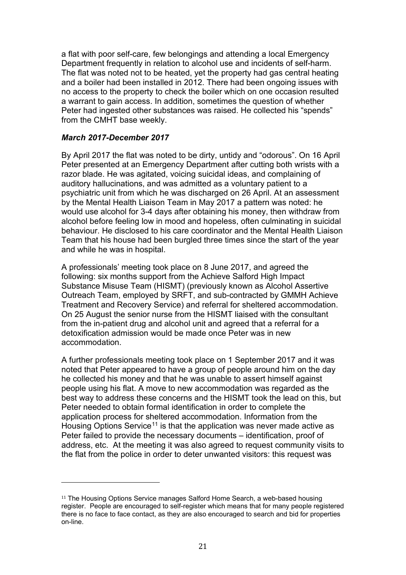a flat with poor self-care, few belongings and attending a local Emergency Department frequently in relation to alcohol use and incidents of self-harm. The flat was noted not to be heated, yet the property had gas central heating and a boiler had been installed in 2012. There had been ongoing issues with no access to the property to check the boiler which on one occasion resulted a warrant to gain access. In addition, sometimes the question of whether Peter had ingested other substances was raised. He collected his "spends" from the CMHT base weekly.

### *March 2017-December 2017*

By April 2017 the flat was noted to be dirty, untidy and "odorous". On 16 April Peter presented at an Emergency Department after cutting both wrists with a razor blade. He was agitated, voicing suicidal ideas, and complaining of auditory hallucinations, and was admitted as a voluntary patient to a psychiatric unit from which he was discharged on 26 April. At an assessment by the Mental Health Liaison Team in May 2017 a pattern was noted: he would use alcohol for 3-4 days after obtaining his money, then withdraw from alcohol before feeling low in mood and hopeless, often culminating in suicidal behaviour. He disclosed to his care coordinator and the Mental Health Liaison Team that his house had been burgled three times since the start of the year and while he was in hospital.

A professionals' meeting took place on 8 June 2017, and agreed the following: six months support from the Achieve Salford High Impact Substance Misuse Team (HISMT) (previously known as Alcohol Assertive Outreach Team, employed by SRFT, and sub-contracted by GMMH Achieve Treatment and Recovery Service) and referral for sheltered accommodation. On 25 August the senior nurse from the HISMT liaised with the consultant from the in-patient drug and alcohol unit and agreed that a referral for a detoxification admission would be made once Peter was in new accommodation.

A further professionals meeting took place on 1 September 2017 and it was noted that Peter appeared to have a group of people around him on the day he collected his money and that he was unable to assert himself against people using his flat. A move to new accommodation was regarded as the best way to address these concerns and the HISMT took the lead on this, but Peter needed to obtain formal identification in order to complete the application process for sheltered accommodation. Information from the Housing Options Service<sup>[11](#page-20-0)</sup> is that the application was never made active as Peter failed to provide the necessary documents – identification, proof of address, etc. At the meeting it was also agreed to request community visits to the flat from the police in order to deter unwanted visitors: this request was

<span id="page-20-0"></span><sup>11</sup> The Housing Options Service manages Salford Home Search, a web-based housing register. People are encouraged to self-register which means that for many people registered there is no face to face contact, as they are also encouraged to search and bid for properties on-line.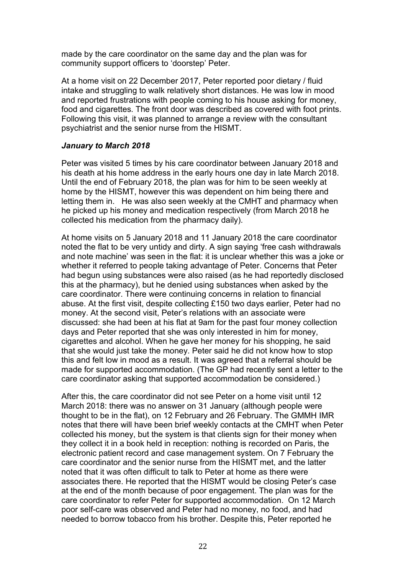made by the care coordinator on the same day and the plan was for community support officers to 'doorstep' Peter.

At a home visit on 22 December 2017, Peter reported poor dietary / fluid intake and struggling to walk relatively short distances. He was low in mood and reported frustrations with people coming to his house asking for money, food and cigarettes. The front door was described as covered with foot prints. Following this visit, it was planned to arrange a review with the consultant psychiatrist and the senior nurse from the HISMT.

### *January to March 2018*

Peter was visited 5 times by his care coordinator between January 2018 and his death at his home address in the early hours one day in late March 2018. Until the end of February 2018, the plan was for him to be seen weekly at home by the HISMT, however this was dependent on him being there and letting them in. He was also seen weekly at the CMHT and pharmacy when he picked up his money and medication respectively (from March 2018 he collected his medication from the pharmacy daily).

At home visits on 5 January 2018 and 11 January 2018 the care coordinator noted the flat to be very untidy and dirty. A sign saying 'free cash withdrawals and note machine' was seen in the flat: it is unclear whether this was a joke or whether it referred to people taking advantage of Peter. Concerns that Peter had begun using substances were also raised (as he had reportedly disclosed this at the pharmacy), but he denied using substances when asked by the care coordinator. There were continuing concerns in relation to financial abuse. At the first visit, despite collecting £150 two days earlier, Peter had no money. At the second visit, Peter's relations with an associate were discussed: she had been at his flat at 9am for the past four money collection days and Peter reported that she was only interested in him for money, cigarettes and alcohol. When he gave her money for his shopping, he said that she would just take the money. Peter said he did not know how to stop this and felt low in mood as a result. It was agreed that a referral should be made for supported accommodation. (The GP had recently sent a letter to the care coordinator asking that supported accommodation be considered.)

After this, the care coordinator did not see Peter on a home visit until 12 March 2018: there was no answer on 31 January (although people were thought to be in the flat), on 12 February and 26 February. The GMMH IMR notes that there will have been brief weekly contacts at the CMHT when Peter collected his money, but the system is that clients sign for their money when they collect it in a book held in reception: nothing is recorded on Paris, the electronic patient record and case management system. On 7 February the care coordinator and the senior nurse from the HISMT met, and the latter noted that it was often difficult to talk to Peter at home as there were associates there. He reported that the HISMT would be closing Peter's case at the end of the month because of poor engagement. The plan was for the care coordinator to refer Peter for supported accommodation. On 12 March poor self-care was observed and Peter had no money, no food, and had needed to borrow tobacco from his brother. Despite this, Peter reported he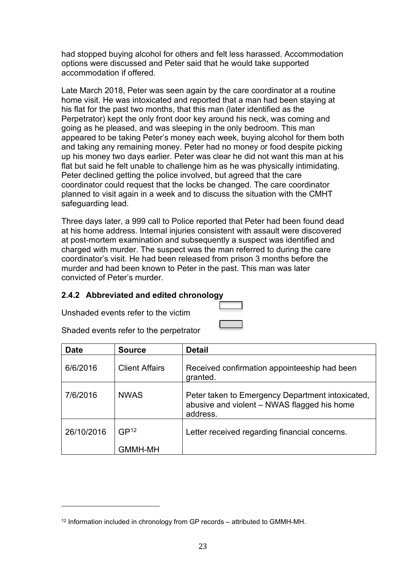had stopped buying alcohol for others and felt less harassed. Accommodation options were discussed and Peter said that he would take supported accommodation if offered.

Late March 2018, Peter was seen again by the care coordinator at a routine home visit. He was intoxicated and reported that a man had been staying at his flat for the past two months, that this man (later identified as the Perpetrator) kept the only front door key around his neck, was coming and going as he pleased, and was sleeping in the only bedroom. This man appeared to be taking Peter's money each week, buying alcohol for them both and taking any remaining money. Peter had no money or food despite picking up his money two days earlier. Peter was clear he did not want this man at his flat but said he felt unable to challenge him as he was physically intimidating. Peter declined getting the police involved, but agreed that the care coordinator could request that the locks be changed. The care coordinator planned to visit again in a week and to discuss the situation with the CMHT safeguarding lead.

Three days later, a 999 call to Police reported that Peter had been found dead at his home address. Internal injuries consistent with assault were discovered at post-mortem examination and subsequently a suspect was identified and charged with murder. The suspect was the man referred to during the care coordinator's visit. He had been released from prison 3 months before the murder and had been known to Peter in the past. This man was later convicted of Peter's murder.

# **2.4.2 Abbreviated and edited chronology**

Unshaded events refer to the victim

Shaded events refer to the perpetrator

| <b>Date</b> | <b>Source</b>         | <b>Detail</b>                                                                                               |
|-------------|-----------------------|-------------------------------------------------------------------------------------------------------------|
| 6/6/2016    | <b>Client Affairs</b> | Received confirmation appointeeship had been<br>granted.                                                    |
| 7/6/2016    | <b>NWAS</b>           | Peter taken to Emergency Department intoxicated,<br>abusive and violent - NWAS flagged his home<br>address. |
| 26/10/2016  | GP <sup>12</sup>      | Letter received regarding financial concerns.                                                               |
|             | <b>GMMH-MH</b>        |                                                                                                             |

<span id="page-22-0"></span><sup>&</sup>lt;sup>12</sup> Information included in chronology from GP records – attributed to GMMH-MH.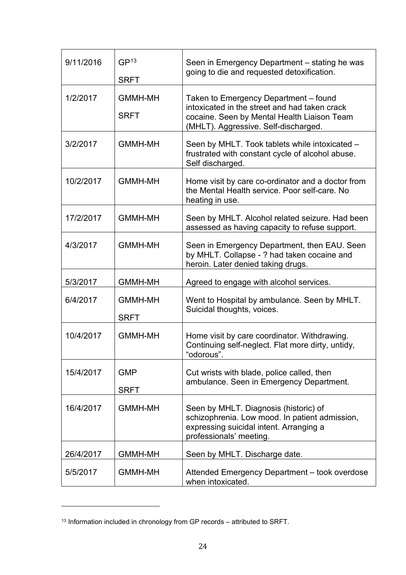| 9/11/2016 | GP <sup>13</sup><br><b>SRFT</b> | Seen in Emergency Department – stating he was<br>going to die and requested detoxification.                                                                                   |
|-----------|---------------------------------|-------------------------------------------------------------------------------------------------------------------------------------------------------------------------------|
| 1/2/2017  | <b>GMMH-MH</b><br><b>SRFT</b>   | Taken to Emergency Department - found<br>intoxicated in the street and had taken crack<br>cocaine. Seen by Mental Health Liaison Team<br>(MHLT). Aggressive. Self-discharged. |
| 3/2/2017  | <b>GMMH-MH</b>                  | Seen by MHLT. Took tablets while intoxicated -<br>frustrated with constant cycle of alcohol abuse.<br>Self discharged.                                                        |
| 10/2/2017 | <b>GMMH-MH</b>                  | Home visit by care co-ordinator and a doctor from<br>the Mental Health service. Poor self-care. No<br>heating in use.                                                         |
| 17/2/2017 | <b>GMMH-MH</b>                  | Seen by MHLT. Alcohol related seizure. Had been<br>assessed as having capacity to refuse support.                                                                             |
| 4/3/2017  | <b>GMMH-MH</b>                  | Seen in Emergency Department, then EAU. Seen<br>by MHLT. Collapse - ? had taken cocaine and<br>heroin. Later denied taking drugs.                                             |
| 5/3/2017  | <b>GMMH-MH</b>                  | Agreed to engage with alcohol services.                                                                                                                                       |
| 6/4/2017  | <b>GMMH-MH</b><br><b>SRFT</b>   | Went to Hospital by ambulance. Seen by MHLT.<br>Suicidal thoughts, voices.                                                                                                    |
| 10/4/2017 | <b>GMMH-MH</b>                  | Home visit by care coordinator. Withdrawing.<br>Continuing self-neglect. Flat more dirty, untidy,<br>"odorous".                                                               |
| 15/4/2017 | <b>GMP</b><br><b>SRFT</b>       | Cut wrists with blade, police called, then<br>ambulance. Seen in Emergency Department.                                                                                        |
| 16/4/2017 | <b>GMMH-MH</b>                  | Seen by MHLT. Diagnosis (historic) of<br>schizophrenia. Low mood. In patient admission,<br>expressing suicidal intent. Arranging a<br>professionals' meeting.                 |
| 26/4/2017 | <b>GMMH-MH</b>                  | Seen by MHLT. Discharge date.                                                                                                                                                 |
| 5/5/2017  | <b>GMMH-MH</b>                  | Attended Emergency Department - took overdose<br>when intoxicated.                                                                                                            |

<span id="page-23-0"></span><sup>13</sup> Information included in chronology from GP records – attributed to SRFT.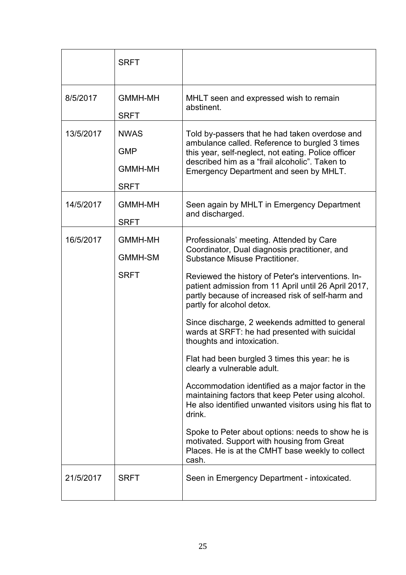|           | <b>SRFT</b>                                                |                                                                                                                                                                                                                                                                                                                                                                                                                                                                                                                                                                                                                                                                                                                                                                                                                                                                                                      |
|-----------|------------------------------------------------------------|------------------------------------------------------------------------------------------------------------------------------------------------------------------------------------------------------------------------------------------------------------------------------------------------------------------------------------------------------------------------------------------------------------------------------------------------------------------------------------------------------------------------------------------------------------------------------------------------------------------------------------------------------------------------------------------------------------------------------------------------------------------------------------------------------------------------------------------------------------------------------------------------------|
| 8/5/2017  | <b>GMMH-MH</b><br><b>SRFT</b>                              | MHLT seen and expressed wish to remain<br>abstinent.                                                                                                                                                                                                                                                                                                                                                                                                                                                                                                                                                                                                                                                                                                                                                                                                                                                 |
| 13/5/2017 | <b>NWAS</b><br><b>GMP</b><br><b>GMMH-MH</b><br><b>SRFT</b> | Told by-passers that he had taken overdose and<br>ambulance called. Reference to burgled 3 times<br>this year, self-neglect, not eating. Police officer<br>described him as a "frail alcoholic". Taken to<br>Emergency Department and seen by MHLT.                                                                                                                                                                                                                                                                                                                                                                                                                                                                                                                                                                                                                                                  |
| 14/5/2017 | <b>GMMH-MH</b><br><b>SRFT</b>                              | Seen again by MHLT in Emergency Department<br>and discharged.                                                                                                                                                                                                                                                                                                                                                                                                                                                                                                                                                                                                                                                                                                                                                                                                                                        |
| 16/5/2017 | <b>GMMH-MH</b><br><b>GMMH-SM</b><br><b>SRFT</b>            | Professionals' meeting. Attended by Care<br>Coordinator, Dual diagnosis practitioner, and<br><b>Substance Misuse Practitioner.</b><br>Reviewed the history of Peter's interventions. In-<br>patient admission from 11 April until 26 April 2017,<br>partly because of increased risk of self-harm and<br>partly for alcohol detox.<br>Since discharge, 2 weekends admitted to general<br>wards at SRFT: he had presented with suicidal<br>thoughts and intoxication.<br>Flat had been burgled 3 times this year: he is<br>clearly a vulnerable adult.<br>Accommodation identified as a major factor in the<br>maintaining factors that keep Peter using alcohol.<br>He also identified unwanted visitors using his flat to<br>drink.<br>Spoke to Peter about options: needs to show he is<br>motivated. Support with housing from Great<br>Places. He is at the CMHT base weekly to collect<br>cash. |
| 21/5/2017 | <b>SRFT</b>                                                | Seen in Emergency Department - intoxicated.                                                                                                                                                                                                                                                                                                                                                                                                                                                                                                                                                                                                                                                                                                                                                                                                                                                          |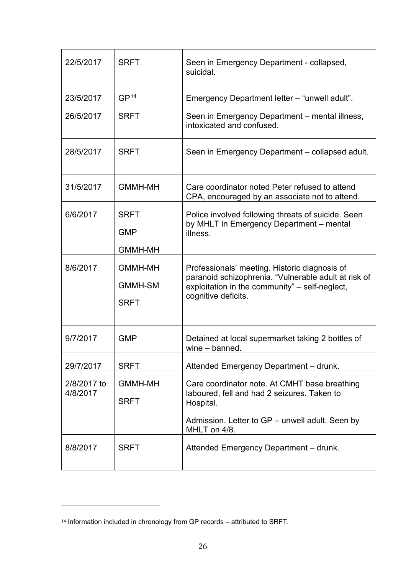| 22/5/2017               | <b>SRFT</b>                                     | Seen in Emergency Department - collapsed,<br>suicidal.                                                                                                                         |
|-------------------------|-------------------------------------------------|--------------------------------------------------------------------------------------------------------------------------------------------------------------------------------|
| 23/5/2017               | GP <sup>14</sup>                                | Emergency Department letter - "unwell adult".                                                                                                                                  |
| 26/5/2017               | <b>SRFT</b>                                     | Seen in Emergency Department – mental illness,<br>intoxicated and confused.                                                                                                    |
| 28/5/2017               | <b>SRFT</b>                                     | Seen in Emergency Department – collapsed adult.                                                                                                                                |
| 31/5/2017               | <b>GMMH-MH</b>                                  | Care coordinator noted Peter refused to attend<br>CPA, encouraged by an associate not to attend.                                                                               |
| 6/6/2017                | <b>SRFT</b><br><b>GMP</b><br><b>GMMH-MH</b>     | Police involved following threats of suicide. Seen<br>by MHLT in Emergency Department - mental<br>illness.                                                                     |
| 8/6/2017                | <b>GMMH-MH</b><br><b>GMMH-SM</b><br><b>SRFT</b> | Professionals' meeting. Historic diagnosis of<br>paranoid schizophrenia. "Vulnerable adult at risk of<br>exploitation in the community" - self-neglect,<br>cognitive deficits. |
| 9/7/2017                | <b>GMP</b>                                      | Detained at local supermarket taking 2 bottles of<br>$wine - banned$ .                                                                                                         |
| 29/7/2017               | <b>SRFT</b>                                     | Attended Emergency Department - drunk.                                                                                                                                         |
| 2/8/2017 to<br>4/8/2017 | <b>GMMH-MH</b><br><b>SRFT</b>                   | Care coordinator note. At CMHT base breathing<br>laboured, fell and had 2 seizures. Taken to<br>Hospital.<br>Admission. Letter to GP – unwell adult. Seen by<br>MHLT on 4/8.   |
| 8/8/2017                | <b>SRFT</b>                                     | Attended Emergency Department - drunk.                                                                                                                                         |

<span id="page-25-0"></span><sup>14</sup> Information included in chronology from GP records – attributed to SRFT.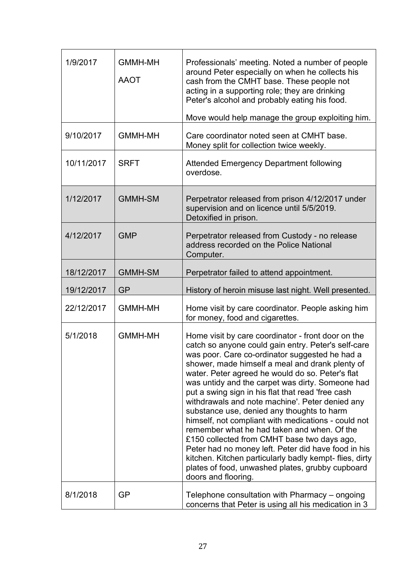| 1/9/2017   | <b>GMMH-MH</b><br><b>AAOT</b> | Professionals' meeting. Noted a number of people<br>around Peter especially on when he collects his<br>cash from the CMHT base. These people not<br>acting in a supporting role; they are drinking<br>Peter's alcohol and probably eating his food.<br>Move would help manage the group exploiting him.                                                                                                                                                                                                                                                                                                                                                                                                                                                                                                                       |
|------------|-------------------------------|-------------------------------------------------------------------------------------------------------------------------------------------------------------------------------------------------------------------------------------------------------------------------------------------------------------------------------------------------------------------------------------------------------------------------------------------------------------------------------------------------------------------------------------------------------------------------------------------------------------------------------------------------------------------------------------------------------------------------------------------------------------------------------------------------------------------------------|
| 9/10/2017  | <b>GMMH-MH</b>                | Care coordinator noted seen at CMHT base.<br>Money split for collection twice weekly.                                                                                                                                                                                                                                                                                                                                                                                                                                                                                                                                                                                                                                                                                                                                         |
| 10/11/2017 | <b>SRFT</b>                   | <b>Attended Emergency Department following</b><br>overdose.                                                                                                                                                                                                                                                                                                                                                                                                                                                                                                                                                                                                                                                                                                                                                                   |
| 1/12/2017  | <b>GMMH-SM</b>                | Perpetrator released from prison 4/12/2017 under<br>supervision and on licence until 5/5/2019.<br>Detoxified in prison.                                                                                                                                                                                                                                                                                                                                                                                                                                                                                                                                                                                                                                                                                                       |
| 4/12/2017  | <b>GMP</b>                    | Perpetrator released from Custody - no release<br>address recorded on the Police National<br>Computer.                                                                                                                                                                                                                                                                                                                                                                                                                                                                                                                                                                                                                                                                                                                        |
| 18/12/2017 | <b>GMMH-SM</b>                | Perpetrator failed to attend appointment.                                                                                                                                                                                                                                                                                                                                                                                                                                                                                                                                                                                                                                                                                                                                                                                     |
| 19/12/2017 | <b>GP</b>                     | History of heroin misuse last night. Well presented.                                                                                                                                                                                                                                                                                                                                                                                                                                                                                                                                                                                                                                                                                                                                                                          |
| 22/12/2017 | <b>GMMH-MH</b>                | Home visit by care coordinator. People asking him<br>for money, food and cigarettes.                                                                                                                                                                                                                                                                                                                                                                                                                                                                                                                                                                                                                                                                                                                                          |
| 5/1/2018   | <b>GMMH-MH</b>                | Home visit by care coordinator - front door on the<br>catch so anyone could gain entry. Peter's self-care<br>was poor. Care co-ordinator suggested he had a<br>shower, made himself a meal and drank plenty of<br>water. Peter agreed he would do so. Peter's flat<br>was untidy and the carpet was dirty. Someone had<br>put a swing sign in his flat that read 'free cash<br>withdrawals and note machine'. Peter denied any<br>substance use, denied any thoughts to harm<br>himself, not compliant with medications - could not<br>remember what he had taken and when. Of the<br>£150 collected from CMHT base two days ago,<br>Peter had no money left. Peter did have food in his<br>kitchen. Kitchen particularly badly kempt-flies, dirty<br>plates of food, unwashed plates, grubby cupboard<br>doors and flooring. |
| 8/1/2018   | GP                            | Telephone consultation with Pharmacy – ongoing<br>concerns that Peter is using all his medication in 3                                                                                                                                                                                                                                                                                                                                                                                                                                                                                                                                                                                                                                                                                                                        |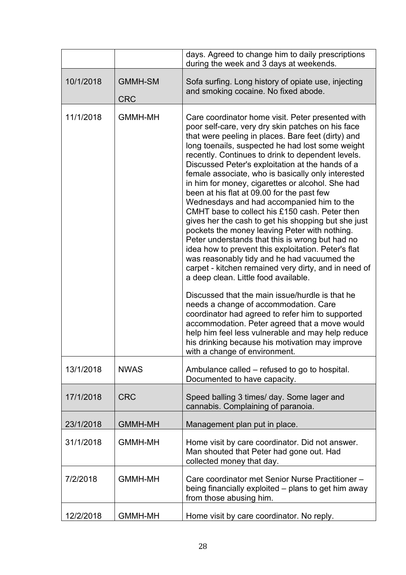|           |                              | days. Agreed to change him to daily prescriptions<br>during the week and 3 days at weekends.                                                                                                                                                                                                                                                                                                                                                                                                                                                                                                                                                                                                                                                                                                                                                                                                                                                                                                                                                                                                                                                                                                                                                                                                |
|-----------|------------------------------|---------------------------------------------------------------------------------------------------------------------------------------------------------------------------------------------------------------------------------------------------------------------------------------------------------------------------------------------------------------------------------------------------------------------------------------------------------------------------------------------------------------------------------------------------------------------------------------------------------------------------------------------------------------------------------------------------------------------------------------------------------------------------------------------------------------------------------------------------------------------------------------------------------------------------------------------------------------------------------------------------------------------------------------------------------------------------------------------------------------------------------------------------------------------------------------------------------------------------------------------------------------------------------------------|
| 10/1/2018 | <b>GMMH-SM</b><br><b>CRC</b> | Sofa surfing. Long history of opiate use, injecting<br>and smoking cocaine. No fixed abode.                                                                                                                                                                                                                                                                                                                                                                                                                                                                                                                                                                                                                                                                                                                                                                                                                                                                                                                                                                                                                                                                                                                                                                                                 |
| 11/1/2018 | <b>GMMH-MH</b>               | Care coordinator home visit. Peter presented with<br>poor self-care, very dry skin patches on his face<br>that were peeling in places. Bare feet (dirty) and<br>long toenails, suspected he had lost some weight<br>recently. Continues to drink to dependent levels.<br>Discussed Peter's exploitation at the hands of a<br>female associate, who is basically only interested<br>in him for money, cigarettes or alcohol. She had<br>been at his flat at 09.00 for the past few<br>Wednesdays and had accompanied him to the<br>CMHT base to collect his £150 cash. Peter then<br>gives her the cash to get his shopping but she just<br>pockets the money leaving Peter with nothing.<br>Peter understands that this is wrong but had no<br>idea how to prevent this exploitation. Peter's flat<br>was reasonably tidy and he had vacuumed the<br>carpet - kitchen remained very dirty, and in need of<br>a deep clean. Little food available.<br>Discussed that the main issue/hurdle is that he<br>needs a change of accommodation. Care<br>coordinator had agreed to refer him to supported<br>accommodation. Peter agreed that a move would<br>help him feel less vulnerable and may help reduce<br>his drinking because his motivation may improve<br>with a change of environment. |
| 13/1/2018 | <b>NWAS</b>                  | Ambulance called – refused to go to hospital.<br>Documented to have capacity.                                                                                                                                                                                                                                                                                                                                                                                                                                                                                                                                                                                                                                                                                                                                                                                                                                                                                                                                                                                                                                                                                                                                                                                                               |
| 17/1/2018 | <b>CRC</b>                   | Speed balling 3 times/ day. Some lager and<br>cannabis. Complaining of paranoia.                                                                                                                                                                                                                                                                                                                                                                                                                                                                                                                                                                                                                                                                                                                                                                                                                                                                                                                                                                                                                                                                                                                                                                                                            |
| 23/1/2018 | <b>GMMH-MH</b>               | Management plan put in place.                                                                                                                                                                                                                                                                                                                                                                                                                                                                                                                                                                                                                                                                                                                                                                                                                                                                                                                                                                                                                                                                                                                                                                                                                                                               |
| 31/1/2018 | <b>GMMH-MH</b>               | Home visit by care coordinator. Did not answer.<br>Man shouted that Peter had gone out. Had<br>collected money that day.                                                                                                                                                                                                                                                                                                                                                                                                                                                                                                                                                                                                                                                                                                                                                                                                                                                                                                                                                                                                                                                                                                                                                                    |
| 7/2/2018  | <b>GMMH-MH</b>               | Care coordinator met Senior Nurse Practitioner-<br>being financially exploited – plans to get him away<br>from those abusing him.                                                                                                                                                                                                                                                                                                                                                                                                                                                                                                                                                                                                                                                                                                                                                                                                                                                                                                                                                                                                                                                                                                                                                           |
| 12/2/2018 | <b>GMMH-MH</b>               | Home visit by care coordinator. No reply.                                                                                                                                                                                                                                                                                                                                                                                                                                                                                                                                                                                                                                                                                                                                                                                                                                                                                                                                                                                                                                                                                                                                                                                                                                                   |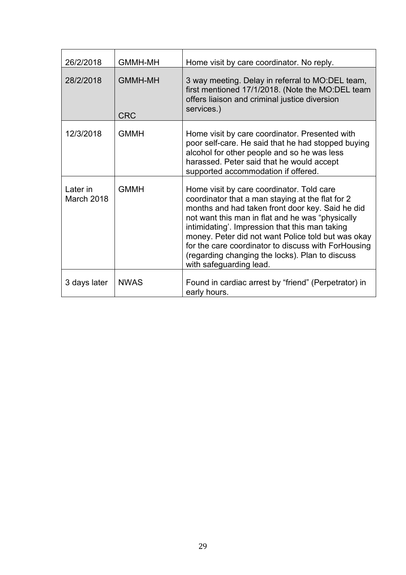| 26/2/2018              | <b>GMMH-MH</b>               | Home visit by care coordinator. No reply.                                                                                                                                                                                                                                                                                                                                                                                                          |
|------------------------|------------------------------|----------------------------------------------------------------------------------------------------------------------------------------------------------------------------------------------------------------------------------------------------------------------------------------------------------------------------------------------------------------------------------------------------------------------------------------------------|
| 28/2/2018              | <b>GMMH-MH</b><br><b>CRC</b> | 3 way meeting. Delay in referral to MO:DEL team,<br>first mentioned 17/1/2018. (Note the MO:DEL team<br>offers liaison and criminal justice diversion<br>services.)                                                                                                                                                                                                                                                                                |
| 12/3/2018              | <b>GMMH</b>                  | Home visit by care coordinator. Presented with<br>poor self-care. He said that he had stopped buying<br>alcohol for other people and so he was less<br>harassed. Peter said that he would accept<br>supported accommodation if offered.                                                                                                                                                                                                            |
| Later in<br>March 2018 | <b>GMMH</b>                  | Home visit by care coordinator. Told care<br>coordinator that a man staying at the flat for 2<br>months and had taken front door key. Said he did<br>not want this man in flat and he was "physically<br>intimidating'. Impression that this man taking<br>money. Peter did not want Police told but was okay<br>for the care coordinator to discuss with ForHousing<br>(regarding changing the locks). Plan to discuss<br>with safeguarding lead. |
| 3 days later           | <b>NWAS</b>                  | Found in cardiac arrest by "friend" (Perpetrator) in<br>early hours.                                                                                                                                                                                                                                                                                                                                                                               |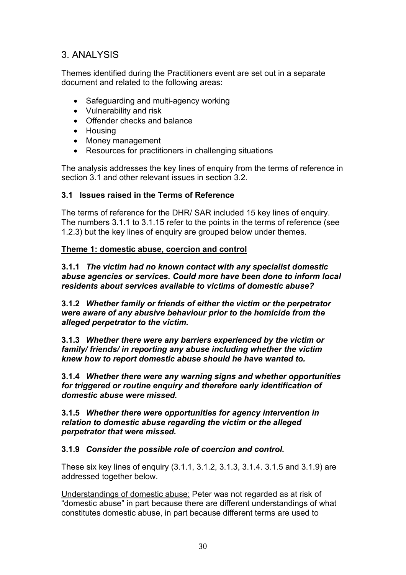# <span id="page-29-0"></span>3. ANALYSIS

Themes identified during the Practitioners event are set out in a separate document and related to the following areas:

- Safeguarding and multi-agency working
- Vulnerability and risk
- Offender checks and balance
- Housing
- Money management
- Resources for practitioners in challenging situations

The analysis addresses the key lines of enquiry from the terms of reference in section 3.1 and other relevant issues in section 3.2.

### <span id="page-29-1"></span>**3.1 Issues raised in the Terms of Reference**

The terms of reference for the DHR/ SAR included 15 key lines of enquiry. The numbers 3.1.1 to 3.1.15 refer to the points in the terms of reference (see 1.2.3) but the key lines of enquiry are grouped below under themes.

### **Theme 1: domestic abuse, coercion and control**

**3.1.1** *The victim had no known contact with any specialist domestic abuse agencies or services. Could more have been done to inform local residents about services available to victims of domestic abuse?*

**3.1.2** *Whether family or friends of either the victim or the perpetrator were aware of any abusive behaviour prior to the homicide from the alleged perpetrator to the victim.* 

**3.1.3** *Whether there were any barriers experienced by the victim or family/ friends/ in reporting any abuse including whether the victim knew how to report domestic abuse should he have wanted to.* 

**3.1.4** *Whether there were any warning signs and whether opportunities for triggered or routine enquiry and therefore early identification of domestic abuse were missed.* 

**3.1.5** *Whether there were opportunities for agency intervention in relation to domestic abuse regarding the victim or the alleged perpetrator that were missed.* 

**3.1.9** *Consider the possible role of coercion and control.*

These six key lines of enquiry (3.1.1, 3.1.2, 3.1.3, 3.1.4. 3.1.5 and 3.1.9) are addressed together below.

Understandings of domestic abuse: Peter was not regarded as at risk of "domestic abuse" in part because there are different understandings of what constitutes domestic abuse, in part because different terms are used to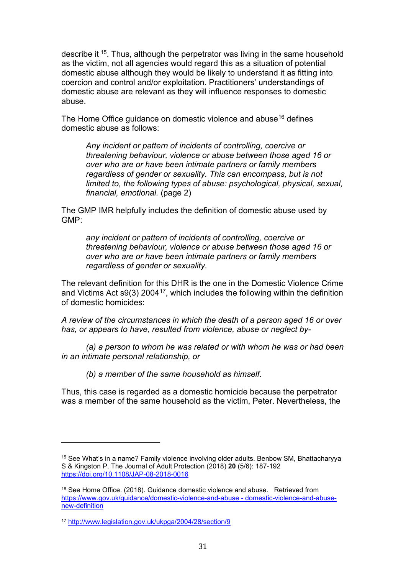describe it [15](#page-30-0). Thus, although the perpetrator was living in the same household as the victim, not all agencies would regard this as a situation of potential domestic abuse although they would be likely to understand it as fitting into coercion and control and/or exploitation. Practitioners' understandings of domestic abuse are relevant as they will influence responses to domestic abuse.

The Home Office guidance on domestic violence and abuse<sup>[16](#page-30-1)</sup> defines domestic abuse as follows:

*Any incident or pattern of incidents of controlling, coercive or threatening behaviour, violence or abuse between those aged 16 or over who are or have been intimate partners or family members regardless of gender or sexuality. This can encompass, but is not limited to, the following types of abuse: psychological, physical, sexual, financial, emotional.* (page 2)

The GMP IMR helpfully includes the definition of domestic abuse used by GMP:

*any incident or pattern of incidents of controlling, coercive or threatening behaviour, violence or abuse between those aged 16 or over who are or have been intimate partners or family members regardless of gender or sexuality.* 

The relevant definition for this DHR is the one in the Domestic Violence Crime and Victims Act  $\mathfrak{so}(3)$  2004<sup>17</sup>, which includes the following within the definition of domestic homicides:

*A review of the circumstances in which the death of a person aged 16 or over has, or appears to have, resulted from violence, abuse or neglect by-*

*(a) a person to whom he was related or with whom he was or had been in an intimate personal relationship, or*

*(b) a member of the same household as himself.* 

Thus, this case is regarded as a domestic homicide because the perpetrator was a member of the same household as the victim, Peter. Nevertheless, the

<span id="page-30-0"></span><sup>15</sup> See What's in a name? Family violence involving older adults. Benbow SM, Bhattacharyya S & Kingston P. The Journal of Adult Protection (2018) **20** (5/6): 187-192 <https://doi.org/10.1108/JAP-08-2018-0016>

<span id="page-30-1"></span><sup>16</sup> See Home Office. (2018). Guidance domestic violence and abuse. Retrieved from [https://www.gov.uk/guidance/domestic-violence-and-abuse - domestic-violence-and-abuse](https://www.gov.uk/guidance/domestic-violence-and-abuse#domestic-violence-and-abuse-new-definition)[new-definition](https://www.gov.uk/guidance/domestic-violence-and-abuse#domestic-violence-and-abuse-new-definition)

<span id="page-30-2"></span><sup>17</sup> <http://www.legislation.gov.uk/ukpga/2004/28/section/9>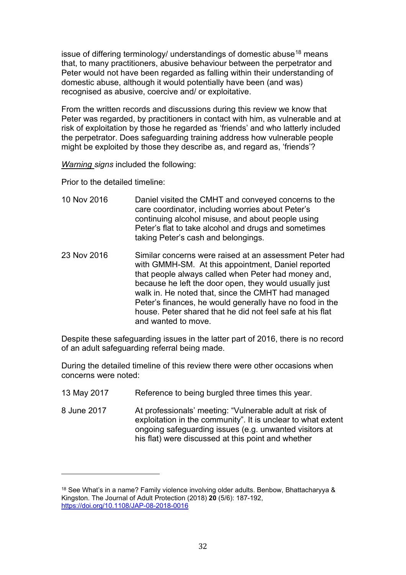issue of differing terminology/ understandings of domestic abuse<sup>[18](#page-31-0)</sup> means that, to many practitioners, abusive behaviour between the perpetrator and Peter would not have been regarded as falling within their understanding of domestic abuse, although it would potentially have been (and was) recognised as abusive, coercive and/ or exploitative.

From the written records and discussions during this review we know that Peter was regarded, by practitioners in contact with him, as vulnerable and at risk of exploitation by those he regarded as 'friends' and who latterly included the perpetrator. Does safeguarding training address how vulnerable people might be exploited by those they describe as, and regard as, 'friends'?

*Warning signs* included the following:

Prior to the detailed timeline:

- 10 Nov 2016 Daniel visited the CMHT and conveyed concerns to the care coordinator, including worries about Peter's continuing alcohol misuse, and about people using Peter's flat to take alcohol and drugs and sometimes taking Peter's cash and belongings.
- 23 Nov 2016 Similar concerns were raised at an assessment Peter had with GMMH-SM. At this appointment, Daniel reported that people always called when Peter had money and, because he left the door open, they would usually just walk in. He noted that, since the CMHT had managed Peter's finances, he would generally have no food in the house. Peter shared that he did not feel safe at his flat and wanted to move.

Despite these safeguarding issues in the latter part of 2016, there is no record of an adult safeguarding referral being made.

During the detailed timeline of this review there were other occasions when concerns were noted:

- 13 May 2017 Reference to being burgled three times this year.
- 8 June 2017 At professionals' meeting: "Vulnerable adult at risk of exploitation in the community". It is unclear to what extent ongoing safeguarding issues (e.g. unwanted visitors at his flat) were discussed at this point and whether

<span id="page-31-0"></span><sup>18</sup> See What's in a name? Family violence involving older adults. Benbow, Bhattacharyya & Kingston. The Journal of Adult Protection (2018) **20** (5/6): 187-192, <https://doi.org/10.1108/JAP-08-2018-0016>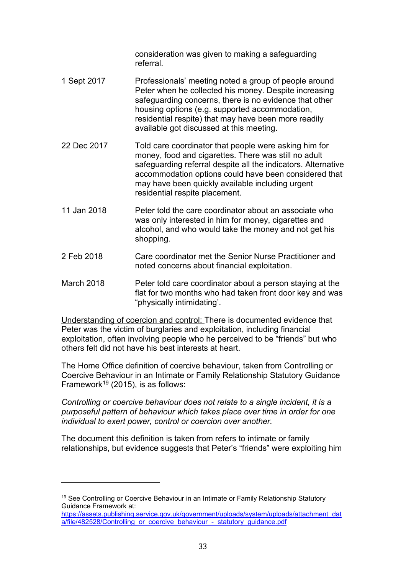consideration was given to making a safeguarding referral.

- 1 Sept 2017 Professionals' meeting noted a group of people around Peter when he collected his money. Despite increasing safeguarding concerns, there is no evidence that other housing options (e.g. supported accommodation, residential respite) that may have been more readily available got discussed at this meeting.
- 22 Dec 2017 Told care coordinator that people were asking him for money, food and cigarettes. There was still no adult safeguarding referral despite all the indicators. Alternative accommodation options could have been considered that may have been quickly available including urgent residential respite placement.
- 11 Jan 2018 Peter told the care coordinator about an associate who was only interested in him for money, cigarettes and alcohol, and who would take the money and not get his shopping.
- 2 Feb 2018 Care coordinator met the Senior Nurse Practitioner and noted concerns about financial exploitation.
- March 2018 Peter told care coordinator about a person staying at the flat for two months who had taken front door key and was "physically intimidating'.

Understanding of coercion and control: There is documented evidence that Peter was the victim of burglaries and exploitation, including financial exploitation, often involving people who he perceived to be "friends" but who others felt did not have his best interests at heart.

The Home Office definition of coercive behaviour, taken from Controlling or Coercive Behaviour in an Intimate or Family Relationship Statutory Guidance Framework<sup>19</sup> (2015), is as follows:

*Controlling or coercive behaviour does not relate to a single incident, it is a purposeful pattern of behaviour which takes place over time in order for one individual to exert power, control or coercion over another.*

The document this definition is taken from refers to intimate or family relationships, but evidence suggests that Peter's "friends" were exploiting him

<span id="page-32-0"></span><sup>&</sup>lt;sup>19</sup> See Controlling or Coercive Behaviour in an Intimate or Family Relationship Statutory Guidance Framework at:

[https://assets.publishing.service.gov.uk/government/uploads/system/uploads/attachment\\_dat](https://assets.publishing.service.gov.uk/government/uploads/system/uploads/attachment_data/file/482528/Controlling_or_coercive_behaviour_-_statutory_guidance.pdf) [a/file/482528/Controlling\\_or\\_coercive\\_behaviour\\_-\\_statutory\\_guidance.pdf](https://assets.publishing.service.gov.uk/government/uploads/system/uploads/attachment_data/file/482528/Controlling_or_coercive_behaviour_-_statutory_guidance.pdf)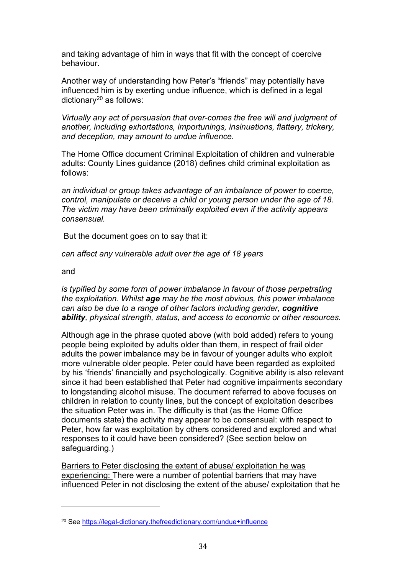and taking advantage of him in ways that fit with the concept of coercive behaviour.

Another way of understanding how Peter's "friends" may potentially have influenced him is by exerting undue influence, which is defined in a legal dictionary<sup>[20](#page-33-0)</sup> as follows:

*Virtually any act of persuasion that over-comes the free will and judgment of another, including exhortations, importunings, insinuations, flattery, trickery, and deception, may amount to undue influence.*

The Home Office document Criminal Exploitation of children and vulnerable adults: County Lines guidance (2018) defines child criminal exploitation as follows:

*an individual or group takes advantage of an imbalance of power to coerce, control, manipulate or deceive a child or young person under the age of 18. The victim may have been criminally exploited even if the activity appears consensual.* 

But the document goes on to say that it:

*can affect any vulnerable adult over the age of 18 years* 

and

*is typified by some form of power imbalance in favour of those perpetrating the exploitation. Whilst age may be the most obvious, this power imbalance can also be due to a range of other factors including gender, cognitive ability, physical strength, status, and access to economic or other resources.* 

Although age in the phrase quoted above (with bold added) refers to young people being exploited by adults older than them, in respect of frail older adults the power imbalance may be in favour of younger adults who exploit more vulnerable older people. Peter could have been regarded as exploited by his 'friends' financially and psychologically. Cognitive ability is also relevant since it had been established that Peter had cognitive impairments secondary to longstanding alcohol misuse. The document referred to above focuses on children in relation to county lines, but the concept of exploitation describes the situation Peter was in. The difficulty is that (as the Home Office documents state) the activity may appear to be consensual: with respect to Peter, how far was exploitation by others considered and explored and what responses to it could have been considered? (See section below on safeguarding.)

Barriers to Peter disclosing the extent of abuse/ exploitation he was experiencing: There were a number of potential barriers that may have influenced Peter in not disclosing the extent of the abuse/ exploitation that he

<span id="page-33-0"></span><sup>20</sup> See<https://legal-dictionary.thefreedictionary.com/undue+influence>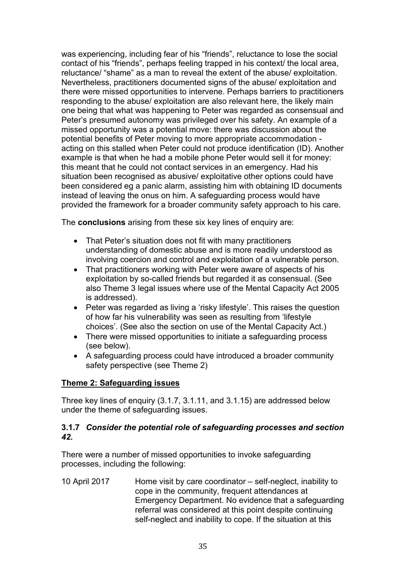was experiencing, including fear of his "friends", reluctance to lose the social contact of his "friends", perhaps feeling trapped in his context/ the local area, reluctance/ "shame" as a man to reveal the extent of the abuse/ exploitation. Nevertheless, practitioners documented signs of the abuse/ exploitation and there were missed opportunities to intervene. Perhaps barriers to practitioners responding to the abuse/ exploitation are also relevant here, the likely main one being that what was happening to Peter was regarded as consensual and Peter's presumed autonomy was privileged over his safety. An example of a missed opportunity was a potential move: there was discussion about the potential benefits of Peter moving to more appropriate accommodation acting on this stalled when Peter could not produce identification (ID). Another example is that when he had a mobile phone Peter would sell it for money: this meant that he could not contact services in an emergency. Had his situation been recognised as abusive/ exploitative other options could have been considered eg a panic alarm, assisting him with obtaining ID documents instead of leaving the onus on him. A safeguarding process would have provided the framework for a broader community safety approach to his care.

The **conclusions** arising from these six key lines of enquiry are:

- That Peter's situation does not fit with many practitioners understanding of domestic abuse and is more readily understood as involving coercion and control and exploitation of a vulnerable person.
- That practitioners working with Peter were aware of aspects of his exploitation by so-called friends but regarded it as consensual. (See also Theme 3 legal issues where use of the Mental Capacity Act 2005 is addressed).
- Peter was regarded as living a 'risky lifestyle'. This raises the question of how far his vulnerability was seen as resulting from 'lifestyle choices'. (See also the section on use of the Mental Capacity Act.)
- There were missed opportunities to initiate a safeguarding process (see below).
- A safeguarding process could have introduced a broader community safety perspective (see Theme 2)

# **Theme 2: Safeguarding issues**

Three key lines of enquiry (3.1.7, 3.1.11, and 3.1.15) are addressed below under the theme of safeguarding issues.

### **3.1.7** *Consider the potential role of safeguarding processes and section 42.*

There were a number of missed opportunities to invoke safeguarding processes, including the following:

10 April 2017 Home visit by care coordinator – self-neglect, inability to cope in the community, frequent attendances at Emergency Department. No evidence that a safeguarding referral was considered at this point despite continuing self-neglect and inability to cope. If the situation at this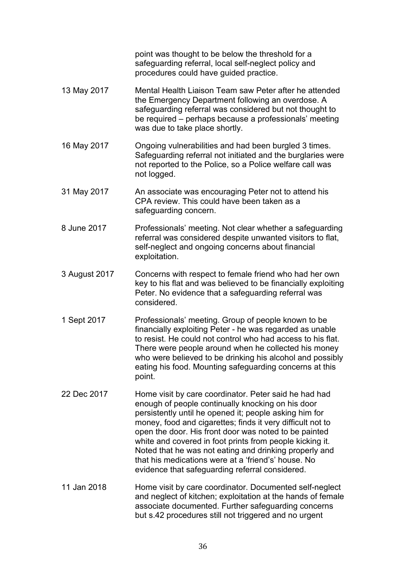point was thought to be below the threshold for a safeguarding referral, local self-neglect policy and procedures could have guided practice.

- 13 May 2017 Mental Health Liaison Team saw Peter after he attended the Emergency Department following an overdose. A safeguarding referral was considered but not thought to be required – perhaps because a professionals' meeting was due to take place shortly.
- 16 May 2017 Ongoing vulnerabilities and had been burgled 3 times. Safeguarding referral not initiated and the burglaries were not reported to the Police, so a Police welfare call was not logged.
- 31 May 2017 An associate was encouraging Peter not to attend his CPA review. This could have been taken as a safeguarding concern.
- 8 June 2017 Professionals' meeting. Not clear whether a safeguarding referral was considered despite unwanted visitors to flat, self-neglect and ongoing concerns about financial exploitation.
- 3 August 2017 Concerns with respect to female friend who had her own key to his flat and was believed to be financially exploiting Peter. No evidence that a safeguarding referral was considered.
- 1 Sept 2017 Professionals' meeting. Group of people known to be financially exploiting Peter - he was regarded as unable to resist. He could not control who had access to his flat. There were people around when he collected his money who were believed to be drinking his alcohol and possibly eating his food. Mounting safeguarding concerns at this point.
- 22 Dec 2017 Home visit by care coordinator. Peter said he had had enough of people continually knocking on his door persistently until he opened it; people asking him for money, food and cigarettes; finds it very difficult not to open the door. His front door was noted to be painted white and covered in foot prints from people kicking it. Noted that he was not eating and drinking properly and that his medications were at a 'friend's' house. No evidence that safeguarding referral considered.
- 11 Jan 2018 Home visit by care coordinator. Documented self-neglect and neglect of kitchen; exploitation at the hands of female associate documented. Further safeguarding concerns but s.42 procedures still not triggered and no urgent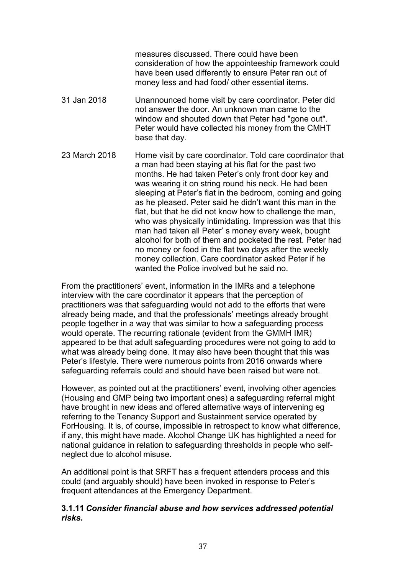measures discussed. There could have been consideration of how the appointeeship framework could have been used differently to ensure Peter ran out of money less and had food/ other essential items.

- 31 Jan 2018 Unannounced home visit by care coordinator. Peter did not answer the door. An unknown man came to the window and shouted down that Peter had "gone out". Peter would have collected his money from the CMHT base that day.
- 23 March 2018 Home visit by care coordinator. Told care coordinator that a man had been staying at his flat for the past two months. He had taken Peter's only front door key and was wearing it on string round his neck. He had been sleeping at Peter's flat in the bedroom, coming and going as he pleased. Peter said he didn't want this man in the flat, but that he did not know how to challenge the man, who was physically intimidating. Impression was that this man had taken all Peter' s money every week, bought alcohol for both of them and pocketed the rest. Peter had no money or food in the flat two days after the weekly money collection. Care coordinator asked Peter if he wanted the Police involved but he said no.

From the practitioners' event, information in the IMRs and a telephone interview with the care coordinator it appears that the perception of practitioners was that safeguarding would not add to the efforts that were already being made, and that the professionals' meetings already brought people together in a way that was similar to how a safeguarding process would operate. The recurring rationale (evident from the GMMH IMR) appeared to be that adult safeguarding procedures were not going to add to what was already being done. It may also have been thought that this was Peter's lifestyle. There were numerous points from 2016 onwards where safeguarding referrals could and should have been raised but were not.

However, as pointed out at the practitioners' event, involving other agencies (Housing and GMP being two important ones) a safeguarding referral might have brought in new ideas and offered alternative ways of intervening eg referring to the Tenancy Support and Sustainment service operated by ForHousing. It is, of course, impossible in retrospect to know what difference, if any, this might have made. Alcohol Change UK has highlighted a need for national guidance in relation to safeguarding thresholds in people who selfneglect due to alcohol misuse.

An additional point is that SRFT has a frequent attenders process and this could (and arguably should) have been invoked in response to Peter's frequent attendances at the Emergency Department.

### **3.1.11** *Consider financial abuse and how services addressed potential risks.*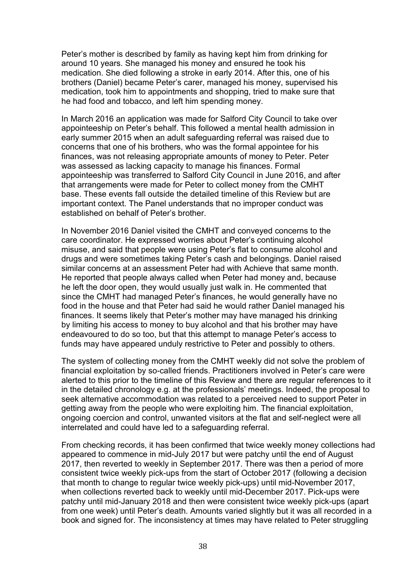Peter's mother is described by family as having kept him from drinking for around 10 years. She managed his money and ensured he took his medication. She died following a stroke in early 2014. After this, one of his brothers (Daniel) became Peter's carer, managed his money, supervised his medication, took him to appointments and shopping, tried to make sure that he had food and tobacco, and left him spending money.

In March 2016 an application was made for Salford City Council to take over appointeeship on Peter's behalf. This followed a mental health admission in early summer 2015 when an adult safeguarding referral was raised due to concerns that one of his brothers, who was the formal appointee for his finances, was not releasing appropriate amounts of money to Peter. Peter was assessed as lacking capacity to manage his finances. Formal appointeeship was transferred to Salford City Council in June 2016, and after that arrangements were made for Peter to collect money from the CMHT base. These events fall outside the detailed timeline of this Review but are important context. The Panel understands that no improper conduct was established on behalf of Peter's brother.

In November 2016 Daniel visited the CMHT and conveyed concerns to the care coordinator. He expressed worries about Peter's continuing alcohol misuse, and said that people were using Peter's flat to consume alcohol and drugs and were sometimes taking Peter's cash and belongings. Daniel raised similar concerns at an assessment Peter had with Achieve that same month. He reported that people always called when Peter had money and, because he left the door open, they would usually just walk in. He commented that since the CMHT had managed Peter's finances, he would generally have no food in the house and that Peter had said he would rather Daniel managed his finances. It seems likely that Peter's mother may have managed his drinking by limiting his access to money to buy alcohol and that his brother may have endeavoured to do so too, but that this attempt to manage Peter's access to funds may have appeared unduly restrictive to Peter and possibly to others.

The system of collecting money from the CMHT weekly did not solve the problem of financial exploitation by so-called friends. Practitioners involved in Peter's care were alerted to this prior to the timeline of this Review and there are regular references to it in the detailed chronology e.g. at the professionals' meetings. Indeed, the proposal to seek alternative accommodation was related to a perceived need to support Peter in getting away from the people who were exploiting him. The financial exploitation, ongoing coercion and control, unwanted visitors at the flat and self-neglect were all interrelated and could have led to a safeguarding referral.

From checking records, it has been confirmed that twice weekly money collections had appeared to commence in mid-July 2017 but were patchy until the end of August 2017, then reverted to weekly in September 2017. There was then a period of more consistent twice weekly pick-ups from the start of October 2017 (following a decision that month to change to regular twice weekly pick-ups) until mid-November 2017, when collections reverted back to weekly until mid-December 2017. Pick-ups were patchy until mid-January 2018 and then were consistent twice weekly pick-ups (apart from one week) until Peter's death. Amounts varied slightly but it was all recorded in a book and signed for. The inconsistency at times may have related to Peter struggling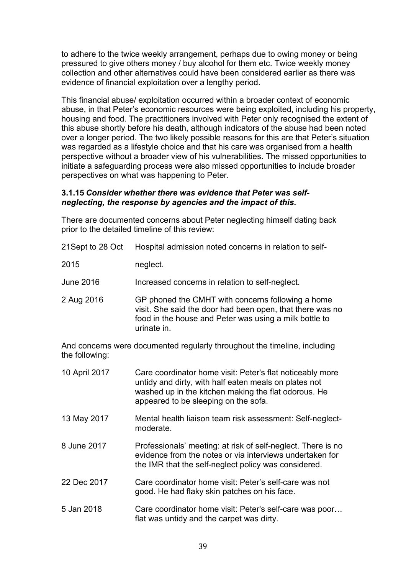to adhere to the twice weekly arrangement, perhaps due to owing money or being pressured to give others money / buy alcohol for them etc. Twice weekly money collection and other alternatives could have been considered earlier as there was evidence of financial exploitation over a lengthy period.

This financial abuse/ exploitation occurred within a broader context of economic abuse, in that Peter's economic resources were being exploited, including his property, housing and food. The practitioners involved with Peter only recognised the extent of this abuse shortly before his death, although indicators of the abuse had been noted over a longer period. The two likely possible reasons for this are that Peter's situation was regarded as a lifestyle choice and that his care was organised from a health perspective without a broader view of his vulnerabilities. The missed opportunities to initiate a safeguarding process were also missed opportunities to include broader perspectives on what was happening to Peter.

### **3.1.15** *Consider whether there was evidence that Peter was selfneglecting, the response by agencies and the impact of this.*

There are documented concerns about Peter neglecting himself dating back prior to the detailed timeline of this review:

| 21 Sept to 28 Oct | Hospital admission noted concerns in relation to self-                                                                                                                                                             |
|-------------------|--------------------------------------------------------------------------------------------------------------------------------------------------------------------------------------------------------------------|
| 2015              | neglect.                                                                                                                                                                                                           |
| <b>June 2016</b>  | Increased concerns in relation to self-neglect.                                                                                                                                                                    |
| 2 Aug 2016        | GP phoned the CMHT with concerns following a home<br>visit. She said the door had been open, that there was no<br>food in the house and Peter was using a milk bottle to<br>urinate in.                            |
| the following:    | And concerns were documented regularly throughout the timeline, including                                                                                                                                          |
| 10 April 2017     | Care coordinator home visit: Peter's flat noticeably more<br>untidy and dirty, with half eaten meals on plates not<br>washed up in the kitchen making the flat odorous. He<br>appeared to be sleeping on the sofa. |
| 13 May 2017       | Mental health liaison team risk assessment: Self-neglect-<br>moderate.                                                                                                                                             |
| 8 June 2017       | Professionals' meeting: at risk of self-neglect. There is no<br>evidence from the notes or via interviews undertaken for<br>the IMR that the self-neglect policy was considered.                                   |
| 22 Dec 2017       | Care coordinator home visit: Peter's self-care was not<br>good. He had flaky skin patches on his face.                                                                                                             |
| 5 Jan 2018        | Care coordinator home visit: Peter's self-care was poor<br>flat was untidy and the carpet was dirty.                                                                                                               |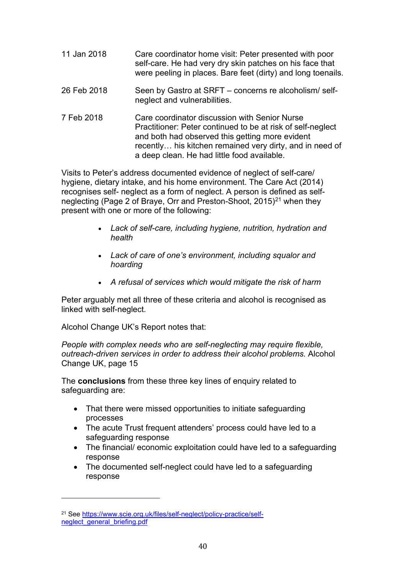| 11 Jan 2018 | Care coordinator home visit: Peter presented with poor<br>self-care. He had very dry skin patches on his face that<br>were peeling in places. Bare feet (dirty) and long toenails.                                                                                         |
|-------------|----------------------------------------------------------------------------------------------------------------------------------------------------------------------------------------------------------------------------------------------------------------------------|
| 26 Feb 2018 | Seen by Gastro at SRFT – concerns re alcoholism/self-<br>neglect and vulnerabilities.                                                                                                                                                                                      |
| 7 Feb 2018  | Care coordinator discussion with Senior Nurse<br>Practitioner: Peter continued to be at risk of self-neglect<br>and both had observed this getting more evident<br>recently his kitchen remained very dirty, and in need of<br>a deep clean. He had little food available. |

Visits to Peter's address documented evidence of neglect of self-care/ hygiene, dietary intake, and his home environment. The Care Act (2014) recognises self- neglect as a form of neglect. A person is defined as self-neglecting (Page 2 of Braye, Orr and Preston-Shoot, 2015)<sup>[21](#page-39-0)</sup> when they present with one or more of the following:

- *Lack of self-care, including hygiene, nutrition, hydration and health*
- *Lack of care of one's environment, including squalor and hoarding*
- *A refusal of services which would mitigate the risk of harm*

Peter arguably met all three of these criteria and alcohol is recognised as linked with self-neglect.

Alcohol Change UK's Report notes that:

*People with complex needs who are self-neglecting may require flexible, outreach-driven services in order to address their alcohol problems.* Alcohol Change UK, page 15

The **conclusions** from these three key lines of enquiry related to safeguarding are:

- That there were missed opportunities to initiate safeguarding processes
- The acute Trust frequent attenders' process could have led to a safeguarding response
- The financial/ economic exploitation could have led to a safeguarding response
- The documented self-neglect could have led to a safeguarding response

<span id="page-39-0"></span><sup>21</sup> See [https://www.scie.org.uk/files/self-neglect/policy-practice/self](https://www.scie.org.uk/files/self-neglect/policy-practice/self-neglect_general_briefing.pdf)neglect general briefing.pdf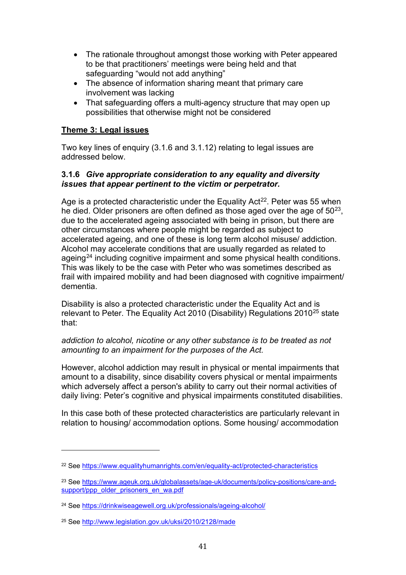- The rationale throughout amongst those working with Peter appeared to be that practitioners' meetings were being held and that safeguarding "would not add anything"
- The absence of information sharing meant that primary care involvement was lacking
- That safeguarding offers a multi-agency structure that may open up possibilities that otherwise might not be considered

# **Theme 3: Legal issues**

Two key lines of enquiry (3.1.6 and 3.1.12) relating to legal issues are addressed below.

### **3.1.6** *Give appropriate consideration to any equality and diversity issues that appear pertinent to the victim or perpetrator.*

Age is a protected characteristic under the Equality Act<sup>22</sup>. Peter was 55 when he died. Older prisoners are often defined as those aged over the age of  $50^{23}$ , due to the accelerated ageing associated with being in prison, but there are other circumstances where people might be regarded as subject to accelerated ageing, and one of these is long term alcohol misuse/ addiction. Alcohol may accelerate conditions that are usually regarded as related to ageing<sup>[24](#page-40-2)</sup> including cognitive impairment and some physical health conditions. This was likely to be the case with Peter who was sometimes described as frail with impaired mobility and had been diagnosed with cognitive impairment/ dementia.

Disability is also a protected characteristic under the Equality Act and is relevant to Peter. The Equality Act 2010 (Disability) Regulations 2010<sup>[25](#page-40-3)</sup> state that:

### *addiction to alcohol, nicotine or any other substance is to be treated as not amounting to an impairment for the purposes of the Act.*

However, alcohol addiction may result in physical or mental impairments that amount to a disability, since disability covers physical or mental impairments which adversely affect a person's ability to carry out their normal activities of daily living: Peter's cognitive and physical impairments constituted disabilities.

In this case both of these protected characteristics are particularly relevant in relation to housing/ accommodation options. Some housing/ accommodation

<span id="page-40-0"></span><sup>22</sup> See<https://www.equalityhumanrights.com/en/equality-act/protected-characteristics>

<span id="page-40-1"></span><sup>&</sup>lt;sup>23</sup> See [https://www.ageuk.org.uk/globalassets/age-uk/documents/policy-positions/care-and](https://www.ageuk.org.uk/globalassets/age-uk/documents/policy-positions/care-and-support/ppp_older_prisoners_en_wa.pdf)[support/ppp\\_older\\_prisoners\\_en\\_wa.pdf](https://www.ageuk.org.uk/globalassets/age-uk/documents/policy-positions/care-and-support/ppp_older_prisoners_en_wa.pdf)

<span id="page-40-2"></span><sup>24</sup> See<https://drinkwiseagewell.org.uk/professionals/ageing-alcohol/>

<span id="page-40-3"></span><sup>25</sup> See<http://www.legislation.gov.uk/uksi/2010/2128/made>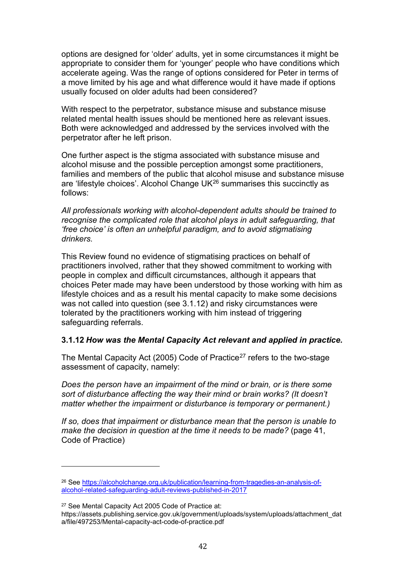options are designed for 'older' adults, yet in some circumstances it might be appropriate to consider them for 'younger' people who have conditions which accelerate ageing. Was the range of options considered for Peter in terms of a move limited by his age and what difference would it have made if options usually focused on older adults had been considered?

With respect to the perpetrator, substance misuse and substance misuse related mental health issues should be mentioned here as relevant issues. Both were acknowledged and addressed by the services involved with the perpetrator after he left prison.

One further aspect is the stigma associated with substance misuse and alcohol misuse and the possible perception amongst some practitioners, families and members of the public that alcohol misuse and substance misuse are 'lifestyle choices'. Alcohol Change  $UK^{26}$  $UK^{26}$  $UK^{26}$  summarises this succinctly as follows:

*All professionals working with alcohol-dependent adults should be trained to recognise the complicated role that alcohol plays in adult safeguarding, that 'free choice' is often an unhelpful paradigm, and to avoid stigmatising drinkers.* 

This Review found no evidence of stigmatising practices on behalf of practitioners involved, rather that they showed commitment to working with people in complex and difficult circumstances, although it appears that choices Peter made may have been understood by those working with him as lifestyle choices and as a result his mental capacity to make some decisions was not called into question (see 3.1.12) and risky circumstances were tolerated by the practitioners working with him instead of triggering safeguarding referrals.

### **3.1.12** *How was the Mental Capacity Act relevant and applied in practice.*

The Mental Capacity Act (2005) Code of Practice<sup>[27](#page-41-1)</sup> refers to the two-stage assessment of capacity, namely:

*Does the person have an impairment of the mind or brain, or is there some sort of disturbance affecting the way their mind or brain works? (It doesn't matter whether the impairment or disturbance is temporary or permanent.)*

*If so, does that impairment or disturbance mean that the person is unable to make the decision in question at the time it needs to be made?* (page 41, Code of Practice)

<span id="page-41-0"></span><sup>26</sup> See [https://alcoholchange.org.uk/publication/learning-from-tragedies-an-analysis-of](https://alcoholchange.org.uk/publication/learning-from-tragedies-an-analysis-of-alcohol-related-safeguarding-adult-reviews-published-in-2017)[alcohol-related-safeguarding-adult-reviews-published-in-2017](https://alcoholchange.org.uk/publication/learning-from-tragedies-an-analysis-of-alcohol-related-safeguarding-adult-reviews-published-in-2017)

<span id="page-41-1"></span><sup>27</sup> See Mental Capacity Act 2005 Code of Practice at:

https://assets.publishing.service.gov.uk/government/uploads/system/uploads/attachment\_dat a/file/497253/Mental-capacity-act-code-of-practice.pdf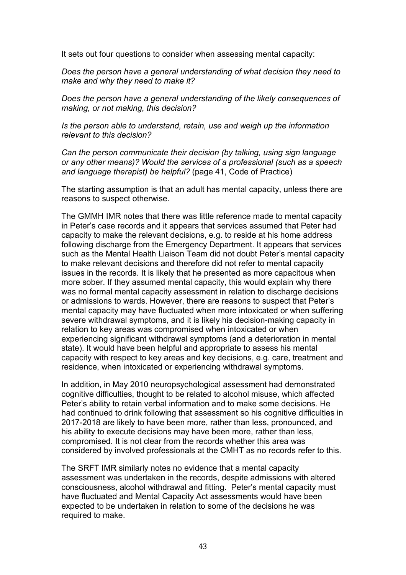It sets out four questions to consider when assessing mental capacity:

*Does the person have a general understanding of what decision they need to make and why they need to make it?*

*Does the person have a general understanding of the likely consequences of making, or not making, this decision?*

*Is the person able to understand, retain, use and weigh up the information relevant to this decision?*

*Can the person communicate their decision (by talking, using sign language or any other means)? Would the services of a professional (such as a speech and language therapist) be helpful?* (page 41, Code of Practice)

The starting assumption is that an adult has mental capacity, unless there are reasons to suspect otherwise.

The GMMH IMR notes that there was little reference made to mental capacity in Peter's case records and it appears that services assumed that Peter had capacity to make the relevant decisions, e.g. to reside at his home address following discharge from the Emergency Department. It appears that services such as the Mental Health Liaison Team did not doubt Peter's mental capacity to make relevant decisions and therefore did not refer to mental capacity issues in the records. It is likely that he presented as more capacitous when more sober. If they assumed mental capacity, this would explain why there was no formal mental capacity assessment in relation to discharge decisions or admissions to wards. However, there are reasons to suspect that Peter's mental capacity may have fluctuated when more intoxicated or when suffering severe withdrawal symptoms, and it is likely his decision-making capacity in relation to key areas was compromised when intoxicated or when experiencing significant withdrawal symptoms (and a deterioration in mental state). It would have been helpful and appropriate to assess his mental capacity with respect to key areas and key decisions, e.g. care, treatment and residence, when intoxicated or experiencing withdrawal symptoms.

In addition, in May 2010 neuropsychological assessment had demonstrated cognitive difficulties, thought to be related to alcohol misuse, which affected Peter's ability to retain verbal information and to make some decisions. He had continued to drink following that assessment so his cognitive difficulties in 2017-2018 are likely to have been more, rather than less, pronounced, and his ability to execute decisions may have been more, rather than less, compromised. It is not clear from the records whether this area was considered by involved professionals at the CMHT as no records refer to this.

The SRFT IMR similarly notes no evidence that a mental capacity assessment was undertaken in the records, despite admissions with altered consciousness, alcohol withdrawal and fitting. Peter's mental capacity must have fluctuated and Mental Capacity Act assessments would have been expected to be undertaken in relation to some of the decisions he was required to make.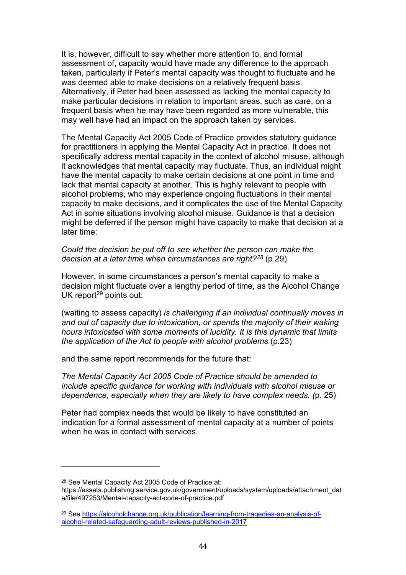It is, however, difficult to say whether more attention to, and formal assessment of, capacity would have made any difference to the approach taken, particularly if Peter's mental capacity was thought to fluctuate and he was deemed able to make decisions on a relatively frequent basis. Alternatively, if Peter had been assessed as lacking the mental capacity to make particular decisions in relation to important areas, such as care, on a frequent basis when he may have been regarded as more vulnerable, this may well have had an impact on the approach taken by services.

The Mental Capacity Act 2005 Code of Practice provides statutory guidance for practitioners in applying the Mental Capacity Act in practice. It does not specifically address mental capacity in the context of alcohol misuse, although it acknowledges that mental capacity may fluctuate. Thus, an individual might have the mental capacity to make certain decisions at one point in time and lack that mental capacity at another. This is highly relevant to people with alcohol problems, who may experience ongoing fluctuations in their mental capacity to make decisions, and it complicates the use of the Mental Capacity Act in some situations involving alcohol misuse. Guidance is that a decision might be deferred if the person might have capacity to make that decision at a later time:

*Could the decision be put off to see whether the person can make the decision at a later time when circumstances are right?[28](#page-43-0)* (p.29)

However, in some circumstances a person's mental capacity to make a decision might fluctuate over a lengthy period of time, as the Alcohol Change UK report $29$  points out:

(waiting to assess capacity) *is challenging if an individual continually moves in and out of capacity due to intoxication, or spends the majority of their waking hours intoxicated with some moments of lucidity. It is this dynamic that limits the application of the Act to people with alcohol problems (p.23)* 

and the same report recommends for the future that:

*The Mental Capacity Act 2005 Code of Practice should be amended to include specific guidance for working with individuals with alcohol misuse or dependence, especially when they are likely to have complex needs. (*p. 25)

Peter had complex needs that would be likely to have constituted an indication for a formal assessment of mental capacity at a number of points when he was in contact with services.

<span id="page-43-0"></span><sup>28</sup> See Mental Capacity Act 2005 Code of Practice at:

https://assets.publishing.service.gov.uk/government/uploads/system/uploads/attachment\_dat a/file/497253/Mental-capacity-act-code-of-practice.pdf

<span id="page-43-1"></span><sup>29</sup> See [https://alcoholchange.org.uk/publication/learning-from-tragedies-an-analysis-of](https://alcoholchange.org.uk/publication/learning-from-tragedies-an-analysis-of-alcohol-related-safeguarding-adult-reviews-published-in-2017)[alcohol-related-safeguarding-adult-reviews-published-in-2017](https://alcoholchange.org.uk/publication/learning-from-tragedies-an-analysis-of-alcohol-related-safeguarding-adult-reviews-published-in-2017)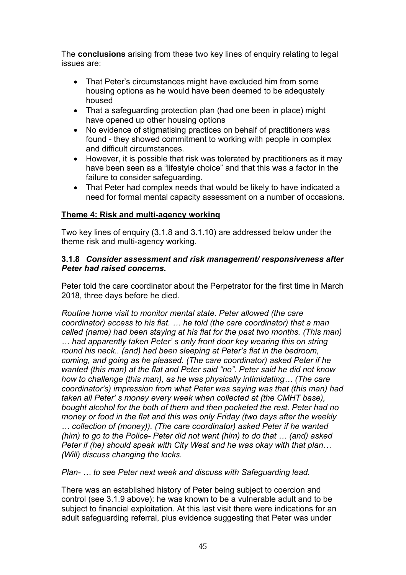The **conclusions** arising from these two key lines of enquiry relating to legal issues are:

- That Peter's circumstances might have excluded him from some housing options as he would have been deemed to be adequately housed
- That a safeguarding protection plan (had one been in place) might have opened up other housing options
- No evidence of stigmatising practices on behalf of practitioners was found - they showed commitment to working with people in complex and difficult circumstances.
- However, it is possible that risk was tolerated by practitioners as it may have been seen as a "lifestyle choice" and that this was a factor in the failure to consider safeguarding.
- That Peter had complex needs that would be likely to have indicated a need for formal mental capacity assessment on a number of occasions.

# **Theme 4: Risk and multi-agency working**

Two key lines of enquiry (3.1.8 and 3.1.10) are addressed below under the theme risk and multi-agency working.

### **3.1.8** *Consider assessment and risk management/ responsiveness after Peter had raised concerns.*

Peter told the care coordinator about the Perpetrator for the first time in March 2018, three days before he died.

*Routine home visit to monitor mental state. Peter allowed (the care coordinator) access to his flat. … he told (the care coordinator) that a man called (name) had been staying at his flat for the past two months. (This man) … had apparently taken Peter' s only front door key wearing this on string round his neck.. (and) had been sleeping at Peter's flat in the bedroom, coming, and going as he pleased. (The care coordinator) asked Peter if he wanted (this man) at the flat and Peter said "no". Peter said he did not know how to challenge (this man), as he was physically intimidating… (The care coordinator's) impression from what Peter was saying was that (this man) had taken all Peter' s money every week when collected at (the CMHT base), bought alcohol for the both of them and then pocketed the rest. Peter had no money or food in the flat and this was only Friday (two days after the weekly … collection of (money)). (The care coordinator) asked Peter if he wanted (him) to go to the Police- Peter did not want (him) to do that … (and) asked Peter if (he) should speak with City West and he was okay with that plan… (Will) discuss changing the locks.* 

*Plan- … to see Peter next week and discuss with Safeguarding lead.*

There was an established history of Peter being subject to coercion and control (see 3.1.9 above): he was known to be a vulnerable adult and to be subject to financial exploitation. At this last visit there were indications for an adult safeguarding referral, plus evidence suggesting that Peter was under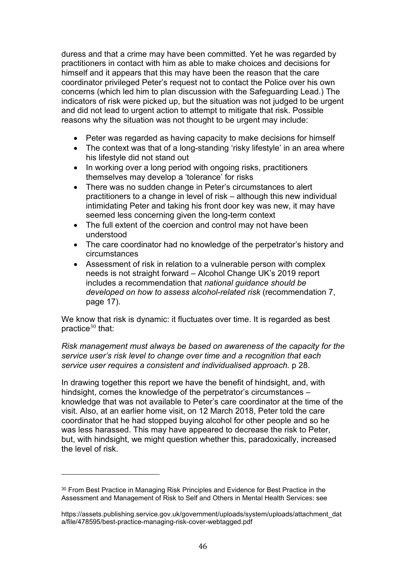duress and that a crime may have been committed. Yet he was regarded by practitioners in contact with him as able to make choices and decisions for himself and it appears that this may have been the reason that the care coordinator privileged Peter's request not to contact the Police over his own concerns (which led him to plan discussion with the Safeguarding Lead.) The indicators of risk were picked up, but the situation was not judged to be urgent and did not lead to urgent action to attempt to mitigate that risk. Possible reasons why the situation was not thought to be urgent may include:

- Peter was regarded as having capacity to make decisions for himself
- The context was that of a long-standing 'risky lifestyle' in an area where his lifestyle did not stand out
- In working over a long period with ongoing risks, practitioners themselves may develop a 'tolerance' for risks
- There was no sudden change in Peter's circumstances to alert practitioners to a change in level of risk – although this new individual intimidating Peter and taking his front door key was new, it may have seemed less concerning given the long-term context
- The full extent of the coercion and control may not have been understood
- The care coordinator had no knowledge of the perpetrator's history and circumstances
- Assessment of risk in relation to a vulnerable person with complex needs is not straight forward – Alcohol Change UK's 2019 report includes a recommendation that *national guidance should be developed on how to assess alcohol-related risk* (recommendation 7, page 17).

We know that risk is dynamic: it fluctuates over time. It is regarded as best practice $30$  that:

*Risk management must always be based on awareness of the capacity for the service user's risk level to change over time and a recognition that each service user requires a consistent and individualised approach.* p 28.

In drawing together this report we have the benefit of hindsight, and, with hindsight, comes the knowledge of the perpetrator's circumstances – knowledge that was not available to Peter's care coordinator at the time of the visit. Also, at an earlier home visit, on 12 March 2018, Peter told the care coordinator that he had stopped buying alcohol for other people and so he was less harassed. This may have appeared to decrease the risk to Peter, but, with hindsight, we might question whether this, paradoxically, increased the level of risk.

<span id="page-45-0"></span><sup>30</sup> From Best Practice in Managing Risk Principles and Evidence for Best Practice in the Assessment and Management of Risk to Self and Others in Mental Health Services: see

https://assets.publishing.service.gov.uk/government/uploads/system/uploads/attachment\_dat a/file/478595/best-practice-managing-risk-cover-webtagged.pdf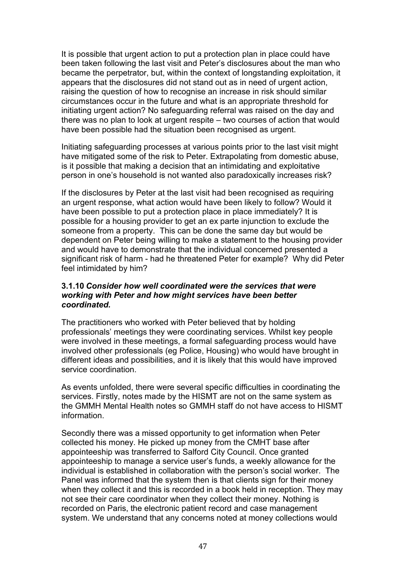It is possible that urgent action to put a protection plan in place could have been taken following the last visit and Peter's disclosures about the man who became the perpetrator, but, within the context of longstanding exploitation, it appears that the disclosures did not stand out as in need of urgent action, raising the question of how to recognise an increase in risk should similar circumstances occur in the future and what is an appropriate threshold for initiating urgent action? No safeguarding referral was raised on the day and there was no plan to look at urgent respite – two courses of action that would have been possible had the situation been recognised as urgent.

Initiating safeguarding processes at various points prior to the last visit might have mitigated some of the risk to Peter. Extrapolating from domestic abuse, is it possible that making a decision that an intimidating and exploitative person in one's household is not wanted also paradoxically increases risk?

If the disclosures by Peter at the last visit had been recognised as requiring an urgent response, what action would have been likely to follow? Would it have been possible to put a protection place in place immediately? It is possible for a housing provider to get an ex parte injunction to exclude the someone from a property. This can be done the same day but would be dependent on Peter being willing to make a statement to the housing provider and would have to demonstrate that the individual concerned presented a significant risk of harm - had he threatened Peter for example? Why did Peter feel intimidated by him?

#### **3.1.10** *Consider how well coordinated were the services that were working with Peter and how might services have been better coordinated.*

The practitioners who worked with Peter believed that by holding professionals' meetings they were coordinating services. Whilst key people were involved in these meetings, a formal safeguarding process would have involved other professionals (eg Police, Housing) who would have brought in different ideas and possibilities, and it is likely that this would have improved service coordination.

As events unfolded, there were several specific difficulties in coordinating the services. Firstly, notes made by the HISMT are not on the same system as the GMMH Mental Health notes so GMMH staff do not have access to HISMT information.

Secondly there was a missed opportunity to get information when Peter collected his money. He picked up money from the CMHT base after appointeeship was transferred to Salford City Council. Once granted appointeeship to manage a service user's funds, a weekly allowance for the individual is established in collaboration with the person's social worker. The Panel was informed that the system then is that clients sign for their money when they collect it and this is recorded in a book held in reception. They may not see their care coordinator when they collect their money. Nothing is recorded on Paris, the electronic patient record and case management system. We understand that any concerns noted at money collections would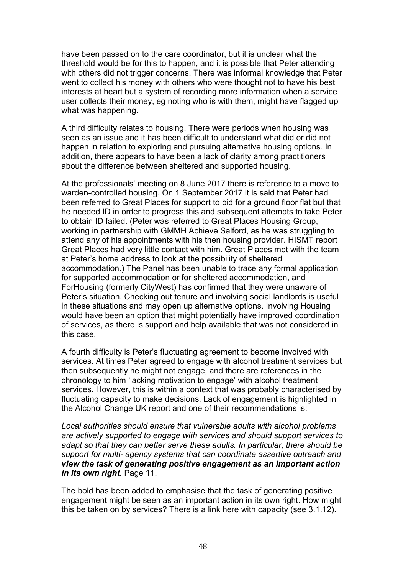have been passed on to the care coordinator, but it is unclear what the threshold would be for this to happen, and it is possible that Peter attending with others did not trigger concerns. There was informal knowledge that Peter went to collect his money with others who were thought not to have his best interests at heart but a system of recording more information when a service user collects their money, eg noting who is with them, might have flagged up what was happening.

A third difficulty relates to housing. There were periods when housing was seen as an issue and it has been difficult to understand what did or did not happen in relation to exploring and pursuing alternative housing options. In addition, there appears to have been a lack of clarity among practitioners about the difference between sheltered and supported housing.

At the professionals' meeting on 8 June 2017 there is reference to a move to warden-controlled housing. On 1 September 2017 it is said that Peter had been referred to Great Places for support to bid for a ground floor flat but that he needed ID in order to progress this and subsequent attempts to take Peter to obtain ID failed. (Peter was referred to Great Places Housing Group, working in partnership with GMMH Achieve Salford, as he was struggling to attend any of his appointments with his then housing provider. HISMT report Great Places had very little contact with him. Great Places met with the team at Peter's home address to look at the possibility of sheltered accommodation.) The Panel has been unable to trace any formal application for supported accommodation or for sheltered accommodation, and ForHousing (formerly CityWest) has confirmed that they were unaware of Peter's situation. Checking out tenure and involving social landlords is useful in these situations and may open up alternative options. Involving Housing would have been an option that might potentially have improved coordination of services, as there is support and help available that was not considered in this case.

A fourth difficulty is Peter's fluctuating agreement to become involved with services. At times Peter agreed to engage with alcohol treatment services but then subsequently he might not engage, and there are references in the chronology to him 'lacking motivation to engage' with alcohol treatment services. However, this is within a context that was probably characterised by fluctuating capacity to make decisions. Lack of engagement is highlighted in the Alcohol Change UK report and one of their recommendations is:

*Local authorities should ensure that vulnerable adults with alcohol problems are actively supported to engage with services and should support services to adapt so that they can better serve these adults. In particular, there should be support for multi- agency systems that can coordinate assertive outreach and view the task of generating positive engagement as an important action in its own right.* Page 11.

The bold has been added to emphasise that the task of generating positive engagement might be seen as an important action in its own right. How might this be taken on by services? There is a link here with capacity (see 3.1.12).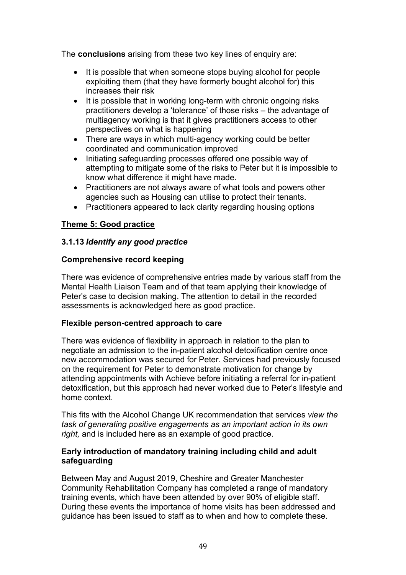The **conclusions** arising from these two key lines of enquiry are:

- It is possible that when someone stops buying alcohol for people exploiting them (that they have formerly bought alcohol for) this increases their risk
- It is possible that in working long-term with chronic ongoing risks practitioners develop a 'tolerance' of those risks – the advantage of multiagency working is that it gives practitioners access to other perspectives on what is happening
- There are ways in which multi-agency working could be better coordinated and communication improved
- Initiating safeguarding processes offered one possible way of attempting to mitigate some of the risks to Peter but it is impossible to know what difference it might have made.
- Practitioners are not always aware of what tools and powers other agencies such as Housing can utilise to protect their tenants.
- Practitioners appeared to lack clarity regarding housing options

# **Theme 5: Good practice**

# **3.1.13** *Identify any good practice*

# **Comprehensive record keeping**

There was evidence of comprehensive entries made by various staff from the Mental Health Liaison Team and of that team applying their knowledge of Peter's case to decision making. The attention to detail in the recorded assessments is acknowledged here as good practice.

# **Flexible person-centred approach to care**

There was evidence of flexibility in approach in relation to the plan to negotiate an admission to the in-patient alcohol detoxification centre once new accommodation was secured for Peter. Services had previously focused on the requirement for Peter to demonstrate motivation for change by attending appointments with Achieve before initiating a referral for in-patient detoxification, but this approach had never worked due to Peter's lifestyle and home context.

This fits with the Alcohol Change UK recommendation that services *view the task of generating positive engagements as an important action in its own right,* and is included here as an example of good practice.

### **Early introduction of mandatory training including child and adult safeguarding**

Between May and August 2019, Cheshire and Greater Manchester Community Rehabilitation Company has completed a range of mandatory training events, which have been attended by over 90% of eligible staff. During these events the importance of home visits has been addressed and guidance has been issued to staff as to when and how to complete these.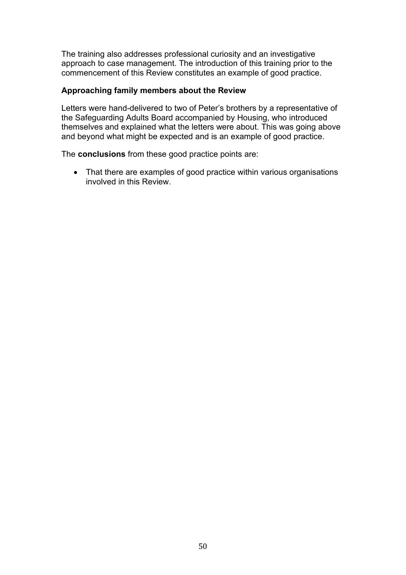The training also addresses professional curiosity and an investigative approach to case management. The introduction of this training prior to the commencement of this Review constitutes an example of good practice.

### **Approaching family members about the Review**

Letters were hand-delivered to two of Peter's brothers by a representative of the Safeguarding Adults Board accompanied by Housing, who introduced themselves and explained what the letters were about. This was going above and beyond what might be expected and is an example of good practice.

The **conclusions** from these good practice points are:

• That there are examples of good practice within various organisations involved in this Review.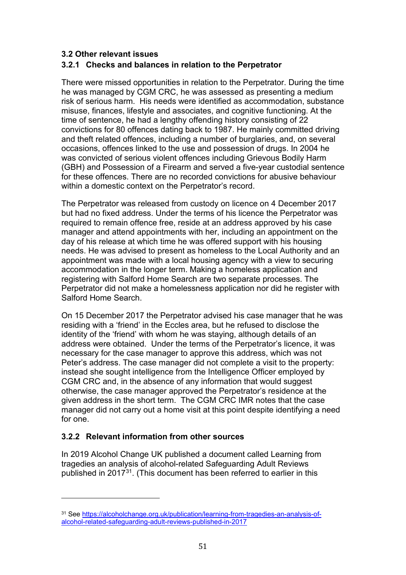### <span id="page-50-0"></span>**3.2 Other relevant issues**

### <span id="page-50-1"></span>**3.2.1 Checks and balances in relation to the Perpetrator**

There were missed opportunities in relation to the Perpetrator. During the time he was managed by CGM CRC, he was assessed as presenting a medium risk of serious harm. His needs were identified as accommodation, substance misuse, finances, lifestyle and associates, and cognitive functioning. At the time of sentence, he had a lengthy offending history consisting of 22 convictions for 80 offences dating back to 1987. He mainly committed driving and theft related offences, including a number of burglaries, and, on several occasions, offences linked to the use and possession of drugs. In 2004 he was convicted of serious violent offences including Grievous Bodily Harm (GBH) and Possession of a Firearm and served a five-year custodial sentence for these offences. There are no recorded convictions for abusive behaviour within a domestic context on the Perpetrator's record.

The Perpetrator was released from custody on licence on 4 December 2017 but had no fixed address. Under the terms of his licence the Perpetrator was required to remain offence free, reside at an address approved by his case manager and attend appointments with her, including an appointment on the day of his release at which time he was offered support with his housing needs. He was advised to present as homeless to the Local Authority and an appointment was made with a local housing agency with a view to securing accommodation in the longer term. Making a homeless application and registering with Salford Home Search are two separate processes. The Perpetrator did not make a homelessness application nor did he register with Salford Home Search.

On 15 December 2017 the Perpetrator advised his case manager that he was residing with a 'friend' in the Eccles area, but he refused to disclose the identity of the 'friend' with whom he was staying, although details of an address were obtained. Under the terms of the Perpetrator's licence, it was necessary for the case manager to approve this address, which was not Peter's address. The case manager did not complete a visit to the property: instead she sought intelligence from the Intelligence Officer employed by CGM CRC and, in the absence of any information that would suggest otherwise, the case manager approved the Perpetrator's residence at the given address in the short term. The CGM CRC IMR notes that the case manager did not carry out a home visit at this point despite identifying a need for one.

# <span id="page-50-2"></span>**3.2.2 Relevant information from other sources**

In 2019 Alcohol Change UK published a document called Learning from tragedies an analysis of alcohol-related Safeguarding Adult Reviews published in 2017[31](#page-50-3). (This document has been referred to earlier in this

<span id="page-50-3"></span><sup>31</sup> See [https://alcoholchange.org.uk/publication/learning-from-tragedies-an-analysis-of](https://alcoholchange.org.uk/publication/learning-from-tragedies-an-analysis-of-alcohol-related-safeguarding-adult-reviews-published-in-2017)[alcohol-related-safeguarding-adult-reviews-published-in-2017](https://alcoholchange.org.uk/publication/learning-from-tragedies-an-analysis-of-alcohol-related-safeguarding-adult-reviews-published-in-2017)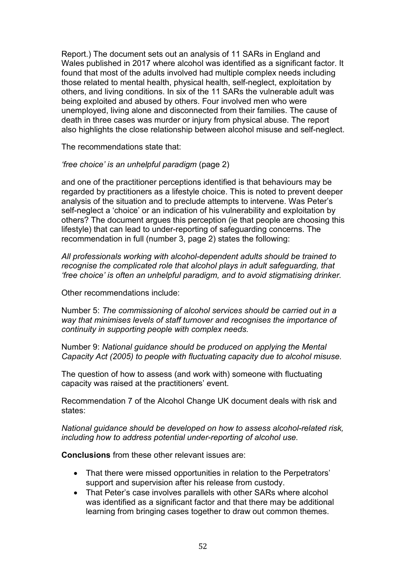Report.) The document sets out an analysis of 11 SARs in England and Wales published in 2017 where alcohol was identified as a significant factor. It found that most of the adults involved had multiple complex needs including those related to mental health, physical health, self-neglect, exploitation by others, and living conditions. In six of the 11 SARs the vulnerable adult was being exploited and abused by others. Four involved men who were unemployed, living alone and disconnected from their families. The cause of death in three cases was murder or injury from physical abuse. The report also highlights the close relationship between alcohol misuse and self-neglect.

The recommendations state that:

*'free choice' is an unhelpful paradigm* (page 2)

and one of the practitioner perceptions identified is that behaviours may be regarded by practitioners as a lifestyle choice. This is noted to prevent deeper analysis of the situation and to preclude attempts to intervene. Was Peter's self-neglect a 'choice' or an indication of his vulnerability and exploitation by others? The document argues this perception (ie that people are choosing this lifestyle) that can lead to under-reporting of safeguarding concerns. The recommendation in full (number 3, page 2) states the following:

*All professionals working with alcohol-dependent adults should be trained to recognise the complicated role that alcohol plays in adult safeguarding, that 'free choice' is often an unhelpful paradigm, and to avoid stigmatising drinker.*

Other recommendations include:

Number 5: *The commissioning of alcohol services should be carried out in a way that minimises levels of staff turnover and recognises the importance of continuity in supporting people with complex needs.*

Number 9: *National guidance should be produced on applying the Mental Capacity Act (2005) to people with fluctuating capacity due to alcohol misuse.*

The question of how to assess (and work with) someone with fluctuating capacity was raised at the practitioners' event.

Recommendation 7 of the Alcohol Change UK document deals with risk and states:

*National guidance should be developed on how to assess alcohol-related risk, including how to address potential under-reporting of alcohol use.*

**Conclusions** from these other relevant issues are:

- That there were missed opportunities in relation to the Perpetrators' support and supervision after his release from custody.
- That Peter's case involves parallels with other SARs where alcohol was identified as a significant factor and that there may be additional learning from bringing cases together to draw out common themes.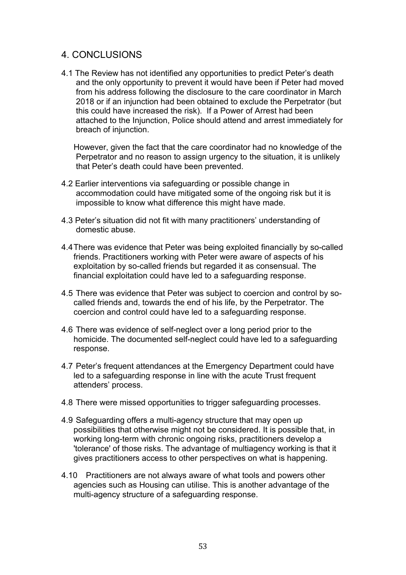# <span id="page-52-0"></span>4. CONCLUSIONS

4.1 The Review has not identified any opportunities to predict Peter's death and the only opportunity to prevent it would have been if Peter had moved from his address following the disclosure to the care coordinator in March 2018 or if an injunction had been obtained to exclude the Perpetrator (but this could have increased the risk). If a Power of Arrest had been attached to the Injunction, Police should attend and arrest immediately for breach of injunction.

However, given the fact that the care coordinator had no knowledge of the Perpetrator and no reason to assign urgency to the situation, it is unlikely that Peter's death could have been prevented.

- 4.2 Earlier interventions via safeguarding or possible change in accommodation could have mitigated some of the ongoing risk but it is impossible to know what difference this might have made.
- 4.3 Peter's situation did not fit with many practitioners' understanding of domestic abuse.
- 4.4There was evidence that Peter was being exploited financially by so-called friends. Practitioners working with Peter were aware of aspects of his exploitation by so-called friends but regarded it as consensual. The financial exploitation could have led to a safeguarding response.
- 4.5 There was evidence that Peter was subject to coercion and control by socalled friends and, towards the end of his life, by the Perpetrator. The coercion and control could have led to a safeguarding response.
- 4.6 There was evidence of self-neglect over a long period prior to the homicide. The documented self-neglect could have led to a safeguarding response.
- 4.7 Peter's frequent attendances at the Emergency Department could have led to a safeguarding response in line with the acute Trust frequent attenders' process.
- 4.8 There were missed opportunities to trigger safeguarding processes.
- 4.9 Safeguarding offers a multi-agency structure that may open up possibilities that otherwise might not be considered. It is possible that, in working long-term with chronic ongoing risks, practitioners develop a 'tolerance' of those risks. The advantage of multiagency working is that it gives practitioners access to other perspectives on what is happening.
- 4.10 Practitioners are not always aware of what tools and powers other agencies such as Housing can utilise. This is another advantage of the multi-agency structure of a safeguarding response.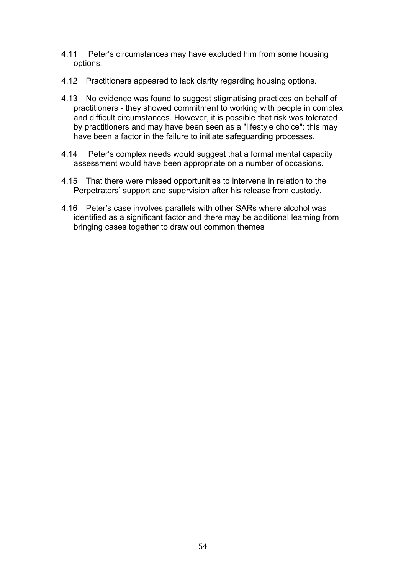- 4.11 Peter's circumstances may have excluded him from some housing options.
- 4.12 Practitioners appeared to lack clarity regarding housing options.
- 4.13 No evidence was found to suggest stigmatising practices on behalf of practitioners - they showed commitment to working with people in complex and difficult circumstances. However, it is possible that risk was tolerated by practitioners and may have been seen as a "lifestyle choice": this may have been a factor in the failure to initiate safeguarding processes.
- 4.14 Peter's complex needs would suggest that a formal mental capacity assessment would have been appropriate on a number of occasions.
- 4.15 That there were missed opportunities to intervene in relation to the Perpetrators' support and supervision after his release from custody.
- 4.16 Peter's case involves parallels with other SARs where alcohol was identified as a significant factor and there may be additional learning from bringing cases together to draw out common themes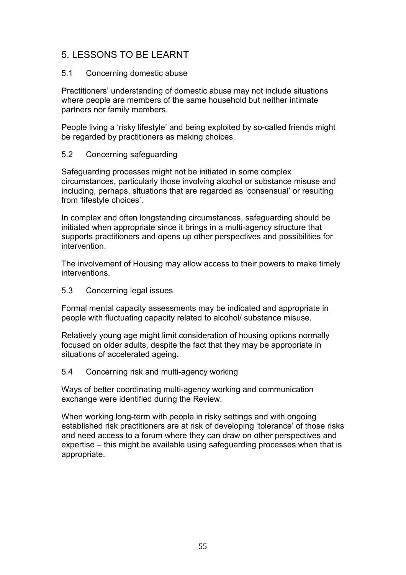# <span id="page-54-0"></span>5. LESSONS TO BE LEARNT

### 5.1 Concerning domestic abuse

Practitioners' understanding of domestic abuse may not include situations where people are members of the same household but neither intimate partners nor family members.

People living a 'risky lifestyle' and being exploited by so-called friends might be regarded by practitioners as making choices.

### 5.2 Concerning safeguarding

Safeguarding processes might not be initiated in some complex circumstances, particularly those involving alcohol or substance misuse and including, perhaps, situations that are regarded as 'consensual' or resulting from 'lifestyle choices'.

In complex and often longstanding circumstances, safeguarding should be initiated when appropriate since it brings in a multi-agency structure that supports practitioners and opens up other perspectives and possibilities for intervention.

The involvement of Housing may allow access to their powers to make timely interventions.

### 5.3 Concerning legal issues

Formal mental capacity assessments may be indicated and appropriate in people with fluctuating capacity related to alcohol/ substance misuse.

Relatively young age might limit consideration of housing options normally focused on older adults, despite the fact that they may be appropriate in situations of accelerated ageing.

### 5.4 Concerning risk and multi-agency working

Ways of better coordinating multi-agency working and communication exchange were identified during the Review.

When working long-term with people in risky settings and with ongoing established risk practitioners are at risk of developing 'tolerance' of those risks and need access to a forum where they can draw on other perspectives and expertise – this might be available using safeguarding processes when that is appropriate.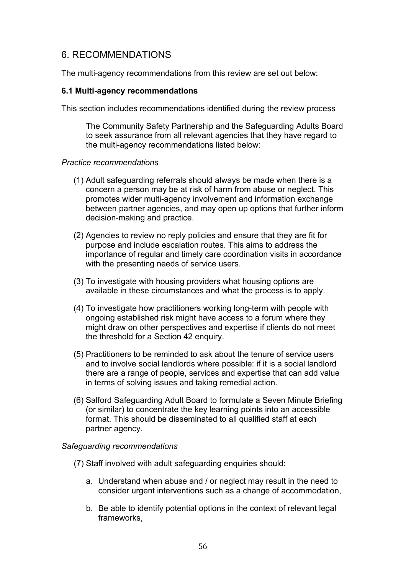# <span id="page-55-0"></span>6. RECOMMENDATIONS

The multi-agency recommendations from this review are set out below:

#### <span id="page-55-1"></span>**6.1 Multi-agency recommendations**

This section includes recommendations identified during the review process

The Community Safety Partnership and the Safeguarding Adults Board to seek assurance from all relevant agencies that they have regard to the multi-agency recommendations listed below:

#### *Practice recommendations*

- (1) Adult safeguarding referrals should always be made when there is a concern a person may be at risk of harm from abuse or neglect. This promotes wider multi-agency involvement and information exchange between partner agencies, and may open up options that further inform decision-making and practice.
- (2) Agencies to review no reply policies and ensure that they are fit for purpose and include escalation routes. This aims to address the importance of regular and timely care coordination visits in accordance with the presenting needs of service users.
- (3) To investigate with housing providers what housing options are available in these circumstances and what the process is to apply.
- (4) To investigate how practitioners working long-term with people with ongoing established risk might have access to a forum where they might draw on other perspectives and expertise if clients do not meet the threshold for a Section 42 enquiry.
- (5) Practitioners to be reminded to ask about the tenure of service users and to involve social landlords where possible: if it is a social landlord there are a range of people, services and expertise that can add value in terms of solving issues and taking remedial action.
- (6) Salford Safeguarding Adult Board to formulate a Seven Minute Briefing (or similar) to concentrate the key learning points into an accessible format. This should be disseminated to all qualified staff at each partner agency.

### *Safeguarding recommendations*

- (7) Staff involved with adult safeguarding enquiries should:
	- a. Understand when abuse and / or neglect may result in the need to consider urgent interventions such as a change of accommodation,
	- b. Be able to identify potential options in the context of relevant legal frameworks,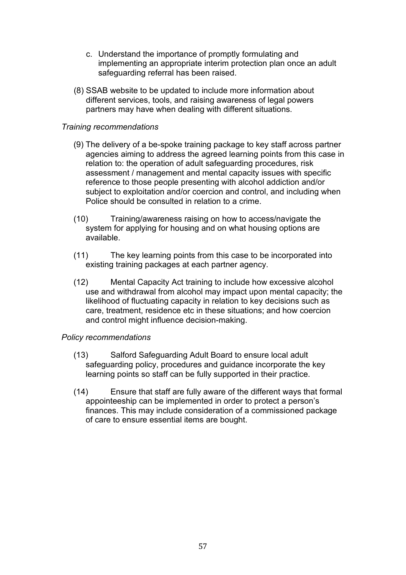- c. Understand the importance of promptly formulating and implementing an appropriate interim protection plan once an adult safeguarding referral has been raised.
- (8) SSAB website to be updated to include more information about different services, tools, and raising awareness of legal powers partners may have when dealing with different situations.

### *Training recommendations*

- (9) The delivery of a be-spoke training package to key staff across partner agencies aiming to address the agreed learning points from this case in relation to: the operation of adult safeguarding procedures, risk assessment / management and mental capacity issues with specific reference to those people presenting with alcohol addiction and/or subiect to exploitation and/or coercion and control, and including when Police should be consulted in relation to a crime.
- (10) Training/awareness raising on how to access/navigate the system for applying for housing and on what housing options are available.
- (11) The key learning points from this case to be incorporated into existing training packages at each partner agency.
- (12) Mental Capacity Act training to include how excessive alcohol use and withdrawal from alcohol may impact upon mental capacity; the likelihood of fluctuating capacity in relation to key decisions such as care, treatment, residence etc in these situations; and how coercion and control might influence decision-making.

### *Policy recommendations*

- (13) Salford Safeguarding Adult Board to ensure local adult safeguarding policy, procedures and guidance incorporate the key learning points so staff can be fully supported in their practice.
- (14) Ensure that staff are fully aware of the different ways that formal appointeeship can be implemented in order to protect a person's finances. This may include consideration of a commissioned package of care to ensure essential items are bought.